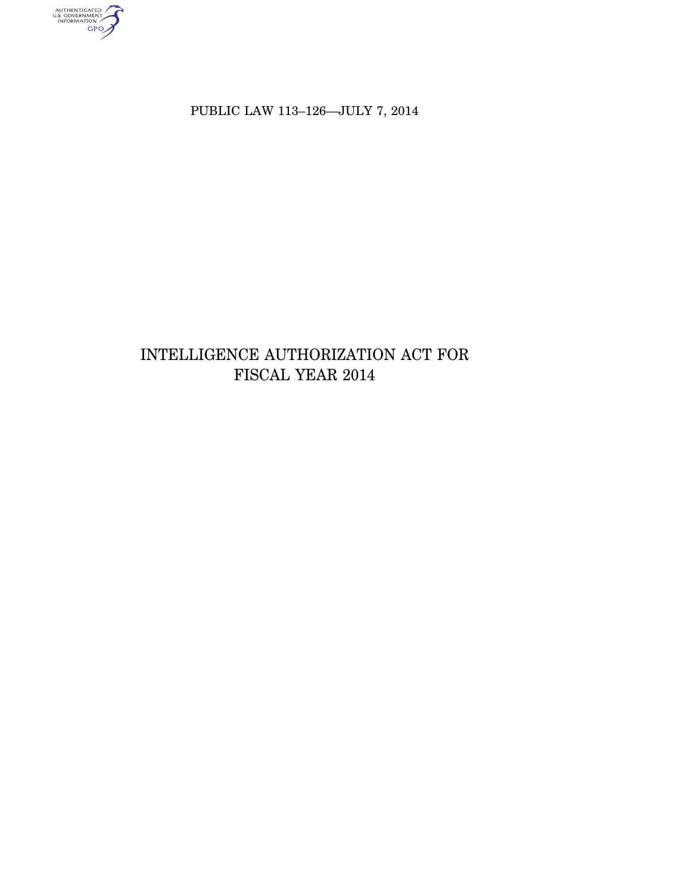authenticated<br>u.s. government<br>information<br>GPO

PUBLIC LAW 113–126—JULY 7, 2014

# INTELLIGENCE AUTHORIZATION ACT FOR FISCAL YEAR 2014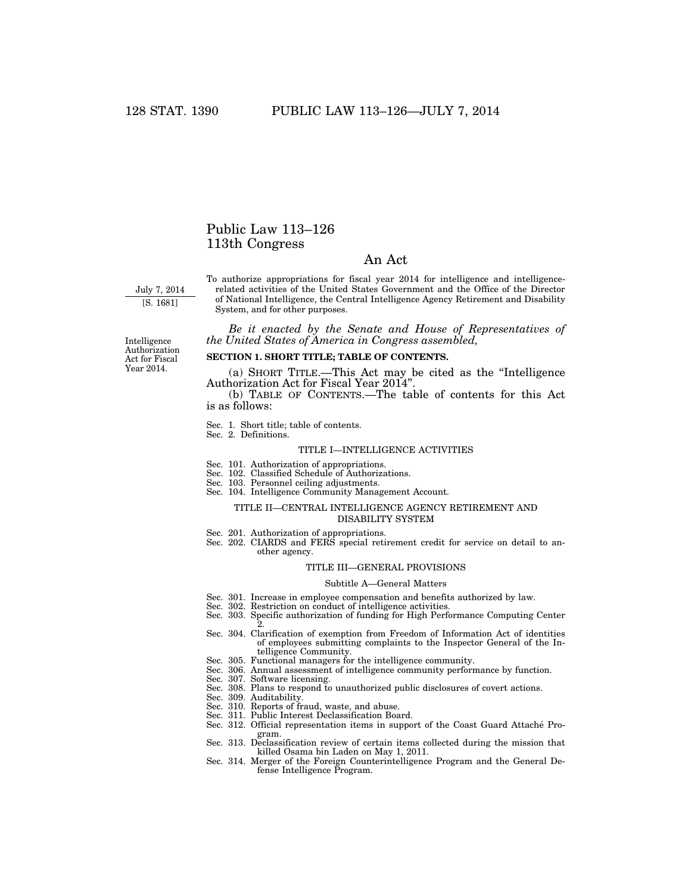### Public Law 113–126 113th Congress

#### An Act

July 7, 2014 [S. 1681]

To authorize appropriations for fiscal year 2014 for intelligence and intelligencerelated activities of the United States Government and the Office of the Director of National Intelligence, the Central Intelligence Agency Retirement and Disability System, and for other purposes.

*Be it enacted by the Senate and House of Representatives of the United States of America in Congress assembled,* 

Intelligence Authorization Act for Fiscal Year 2014.

#### **SECTION 1. SHORT TITLE; TABLE OF CONTENTS.**

(a) SHORT TITLE.—This Act may be cited as the ''Intelligence Authorization Act for Fiscal Year 2014''.

(b) TABLE OF CONTENTS.—The table of contents for this Act is as follows:

Sec. 1. Short title; table of contents.

Sec. 2. Definitions.

#### TITLE I—INTELLIGENCE ACTIVITIES

- Sec. 101. Authorization of appropriations.
- Sec. 102. Classified Schedule of Authorizations.
- Sec. 103. Personnel ceiling adjustments.
- Sec. 104. Intelligence Community Management Account.

#### TITLE II—CENTRAL INTELLIGENCE AGENCY RETIREMENT AND DISABILITY SYSTEM

- Sec. 201. Authorization of appropriations.
- Sec. 202. CIARDS and FERS special retirement credit for service on detail to another agency.

#### TITLE III—GENERAL PROVISIONS

#### Subtitle A—General Matters

- Sec. 301. Increase in employee compensation and benefits authorized by law.
- Sec. 302. Restriction on conduct of intelligence activities.
- Sec. 303. Specific authorization of funding for High Performance Computing Center 2.
- Sec. 304. Clarification of exemption from Freedom of Information Act of identities of employees submitting complaints to the Inspector General of the Intelligence Community.
- Sec. 305. Functional managers for the intelligence community.
- Sec. 306. Annual assessment of intelligence community performance by function.
- Sec. 307. Software licensing.
- Sec. 308. Plans to respond to unauthorized public disclosures of covert actions.
- Sec. 309. Auditability.
- Sec. 310. Reports of fraud, waste, and abuse.
- Sec. 311. Public Interest Declassification Board.
- Sec. 312. Official representation items in support of the Coast Guard Attaché Program.
- Sec. 313. Declassification review of certain items collected during the mission that killed Osama bin Laden on May 1, 2011.
- Sec. 314. Merger of the Foreign Counterintelligence Program and the General Defense Intelligence Program.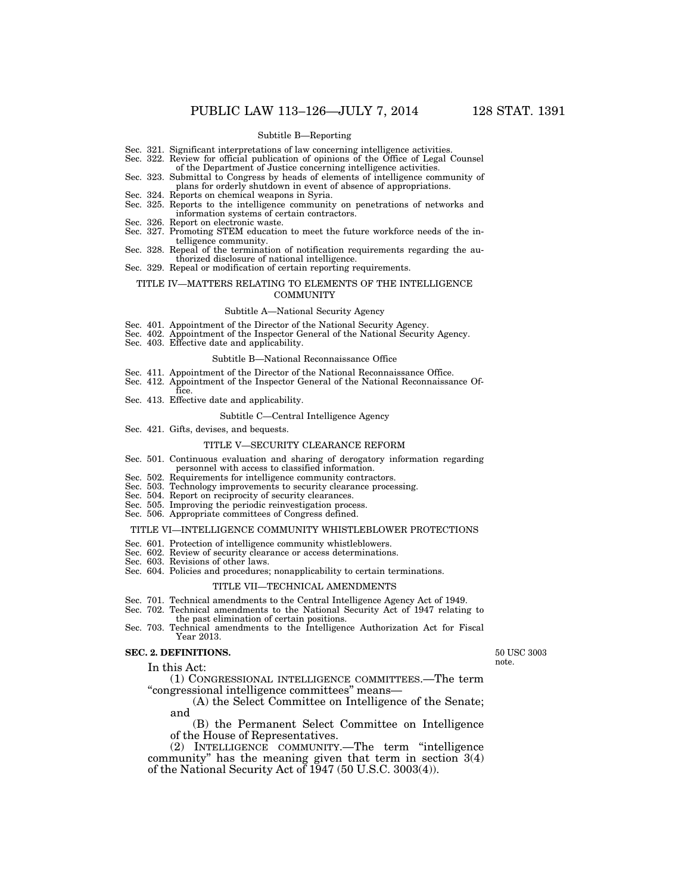#### Subtitle B—Reporting

- Sec. 321. Significant interpretations of law concerning intelligence activities.
- Sec. 322. Review for official publication of opinions of the Office of Legal Counsel of the Department of Justice concerning intelligence activities.
- Sec. 323. Submittal to Congress by heads of elements of intelligence community of plans for orderly shutdown in event of absence of appropriations.
- Sec. 324. Reports on chemical weapons in Syria.
- Sec. 325. Reports to the intelligence community on penetrations of networks and information systems of certain contractors.
- Sec. 326. Report on electronic waste.
- Sec. 327. Promoting STEM education to meet the future workforce needs of the intelligence community.
- Sec. 328. Repeal of the termination of notification requirements regarding the authorized disclosure of national intelligence.
- Sec. 329. Repeal or modification of certain reporting requirements.

#### TITLE IV—MATTERS RELATING TO ELEMENTS OF THE INTELLIGENCE **COMMUNITY**

#### Subtitle A—National Security Agency

- Sec. 401. Appointment of the Director of the National Security Agency.
- Sec. 402. Appointment of the Inspector General of the National Security Agency.
- Sec. 403. Effective date and applicability.

#### Subtitle B—National Reconnaissance Office

- Sec. 411. Appointment of the Director of the National Reconnaissance Office.
- Sec. 412. Appointment of the Inspector General of the National Reconnaissance Of-
- fice. Sec. 413. Effective date and applicability.

#### Subtitle C—Central Intelligence Agency

Sec. 421. Gifts, devises, and bequests.

#### TITLE V—SECURITY CLEARANCE REFORM

- Sec. 501. Continuous evaluation and sharing of derogatory information regarding
- personnel with access to classified information.
- Sec. 502. Requirements for intelligence community contractors. Sec. 503. Technology improvements to security clearance processing.
- Sec. 504. Report on reciprocity of security clearances.
- Sec. 505. Improving the periodic reinvestigation process.
- Sec. 506. Appropriate committees of Congress defined.

#### TITLE VI—INTELLIGENCE COMMUNITY WHISTLEBLOWER PROTECTIONS

- Sec. 601. Protection of intelligence community whistleblowers.
- Sec. 602. Review of security clearance or access determinations.
- Sec. 603. Revisions of other laws.
- Sec. 604. Policies and procedures; nonapplicability to certain terminations.

#### TITLE VII—TECHNICAL AMENDMENTS

- Sec. 701. Technical amendments to the Central Intelligence Agency Act of 1949.
- Sec. 702. Technical amendments to the National Security Act of 1947 relating to the past elimination of certain positions.
- Sec. 703. Technical amendments to the Intelligence Authorization Act for Fiscal Year 2013.

#### **SEC. 2. DEFINITIONS.**

In this Act:

50 USC 3003 note.

(1) CONGRESSIONAL INTELLIGENCE COMMITTEES.—The term ''congressional intelligence committees'' means—

(A) the Select Committee on Intelligence of the Senate; and

(B) the Permanent Select Committee on Intelligence of the House of Representatives.

(2) INTELLIGENCE COMMUNITY.—The term ''intelligence community'' has the meaning given that term in section 3(4) of the National Security Act of 1947 (50 U.S.C. 3003(4)).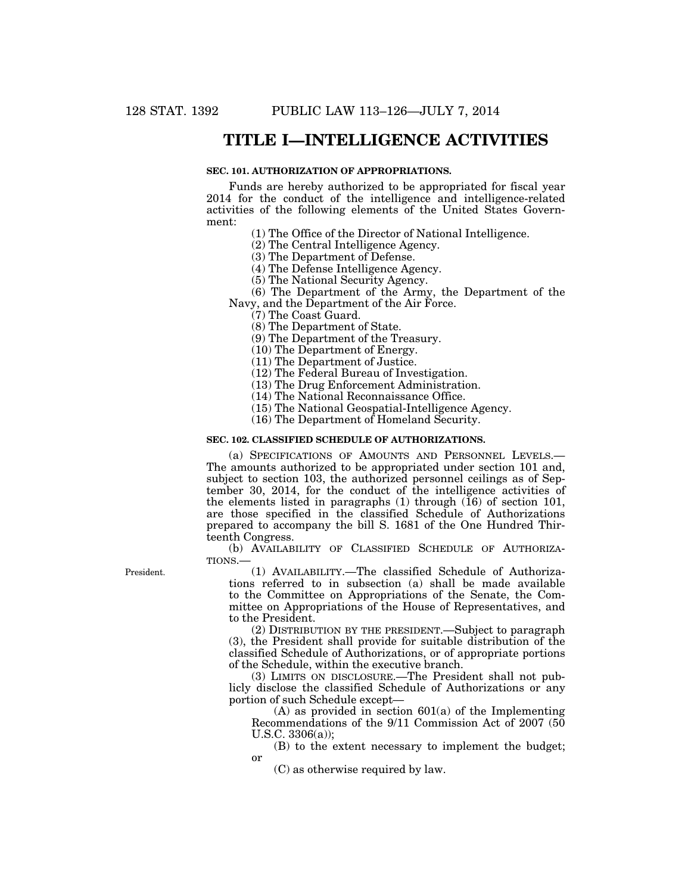### **TITLE I—INTELLIGENCE ACTIVITIES**

#### **SEC. 101. AUTHORIZATION OF APPROPRIATIONS.**

Funds are hereby authorized to be appropriated for fiscal year 2014 for the conduct of the intelligence and intelligence-related activities of the following elements of the United States Government:

(1) The Office of the Director of National Intelligence.

(2) The Central Intelligence Agency.

(3) The Department of Defense.

(4) The Defense Intelligence Agency.

(5) The National Security Agency.

(6) The Department of the Army, the Department of the Navy, and the Department of the Air Force.

(7) The Coast Guard.

(8) The Department of State.

(9) The Department of the Treasury.

(10) The Department of Energy.

(11) The Department of Justice.

(12) The Federal Bureau of Investigation.

(13) The Drug Enforcement Administration.

(14) The National Reconnaissance Office.

(15) The National Geospatial-Intelligence Agency.

(16) The Department of Homeland Security.

#### **SEC. 102. CLASSIFIED SCHEDULE OF AUTHORIZATIONS.**

(a) SPECIFICATIONS OF AMOUNTS AND PERSONNEL LEVELS.— The amounts authorized to be appropriated under section 101 and, subject to section 103, the authorized personnel ceilings as of September 30, 2014, for the conduct of the intelligence activities of the elements listed in paragraphs  $(1)$  through  $(16)$  of section 101, are those specified in the classified Schedule of Authorizations prepared to accompany the bill S. 1681 of the One Hundred Thirteenth Congress.

(b) AVAILABILITY OF CLASSIFIED SCHEDULE OF AUTHORIZA-TIONS.—

(1) AVAILABILITY.—The classified Schedule of Authorizations referred to in subsection (a) shall be made available to the Committee on Appropriations of the Senate, the Committee on Appropriations of the House of Representatives, and to the President.

(2) DISTRIBUTION BY THE PRESIDENT.—Subject to paragraph (3), the President shall provide for suitable distribution of the classified Schedule of Authorizations, or of appropriate portions of the Schedule, within the executive branch.

(3) LIMITS ON DISCLOSURE.—The President shall not publicly disclose the classified Schedule of Authorizations or any portion of such Schedule except—

 $(A)$  as provided in section  $601(a)$  of the Implementing Recommendations of the 9/11 Commission Act of 2007 (50 U.S.C. 3306(a));

(B) to the extent necessary to implement the budget; or

(C) as otherwise required by law.

President.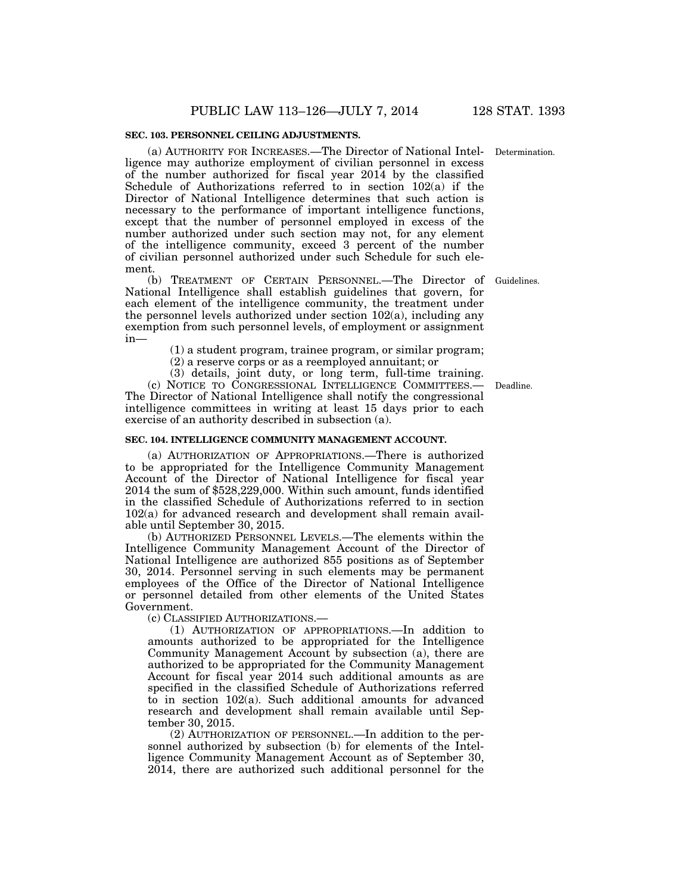#### **SEC. 103. PERSONNEL CEILING ADJUSTMENTS.**

(a) AUTHORITY FOR INCREASES.—The Director of National Intel-Determination. ligence may authorize employment of civilian personnel in excess of the number authorized for fiscal year 2014 by the classified Schedule of Authorizations referred to in section 102(a) if the Director of National Intelligence determines that such action is necessary to the performance of important intelligence functions, except that the number of personnel employed in excess of the number authorized under such section may not, for any element of the intelligence community, exceed 3 percent of the number of civilian personnel authorized under such Schedule for such element.

(b) TREATMENT OF CERTAIN PERSONNEL.—The Director of National Intelligence shall establish guidelines that govern, for each element of the intelligence community, the treatment under the personnel levels authorized under section 102(a), including any exemption from such personnel levels, of employment or assignment in—

(1) a student program, trainee program, or similar program;

(2) a reserve corps or as a reemployed annuitant; or

(3) details, joint duty, or long term, full-time training. (c) NOTICE TO CONGRESSIONAL INTELLIGENCE COMMITTEES.— The Director of National Intelligence shall notify the congressional intelligence committees in writing at least 15 days prior to each exercise of an authority described in subsection (a).

#### **SEC. 104. INTELLIGENCE COMMUNITY MANAGEMENT ACCOUNT.**

(a) AUTHORIZATION OF APPROPRIATIONS.—There is authorized to be appropriated for the Intelligence Community Management Account of the Director of National Intelligence for fiscal year 2014 the sum of \$528,229,000. Within such amount, funds identified in the classified Schedule of Authorizations referred to in section 102(a) for advanced research and development shall remain available until September 30, 2015.

(b) AUTHORIZED PERSONNEL LEVELS.—The elements within the Intelligence Community Management Account of the Director of National Intelligence are authorized 855 positions as of September 30, 2014. Personnel serving in such elements may be permanent employees of the Office of the Director of National Intelligence or personnel detailed from other elements of the United States Government.

(c) CLASSIFIED AUTHORIZATIONS.—

(1) AUTHORIZATION OF APPROPRIATIONS.—In addition to amounts authorized to be appropriated for the Intelligence Community Management Account by subsection (a), there are authorized to be appropriated for the Community Management Account for fiscal year 2014 such additional amounts as are specified in the classified Schedule of Authorizations referred to in section 102(a). Such additional amounts for advanced research and development shall remain available until September 30, 2015.

(2) AUTHORIZATION OF PERSONNEL.—In addition to the personnel authorized by subsection (b) for elements of the Intelligence Community Management Account as of September 30, 2014, there are authorized such additional personnel for the

Deadline.

Guidelines.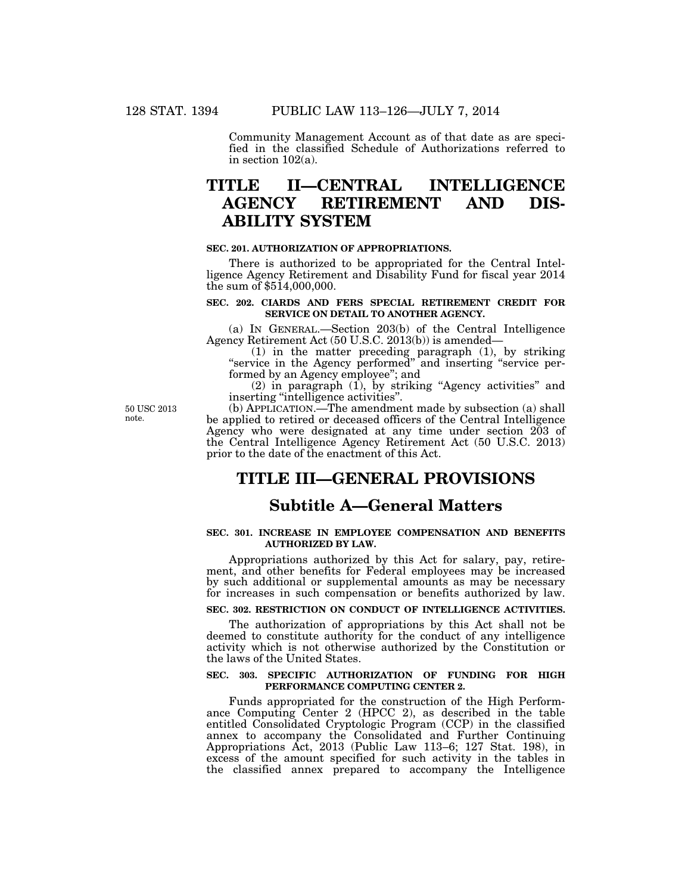Community Management Account as of that date as are specified in the classified Schedule of Authorizations referred to in section 102(a).

# **TITLE II—CENTRAL INTELLIGENCE AGENCY RETIREMENT AND DIS-ABILITY SYSTEM**

#### **SEC. 201. AUTHORIZATION OF APPROPRIATIONS.**

There is authorized to be appropriated for the Central Intelligence Agency Retirement and Disability Fund for fiscal year 2014 the sum of \$514,000,000.

#### **SEC. 202. CIARDS AND FERS SPECIAL RETIREMENT CREDIT FOR SERVICE ON DETAIL TO ANOTHER AGENCY.**

(a) IN GENERAL.—Section 203(b) of the Central Intelligence Agency Retirement Act (50 U.S.C. 2013(b)) is amended—

(1) in the matter preceding paragraph (1), by striking "service in the Agency performed" and inserting "service performed by an Agency employee''; and

(2) in paragraph (1), by striking ''Agency activities'' and inserting ''intelligence activities''.

50 USC 2013 note.

(b) APPLICATION.—The amendment made by subsection (a) shall be applied to retired or deceased officers of the Central Intelligence Agency who were designated at any time under section 203 of the Central Intelligence Agency Retirement Act (50 U.S.C. 2013) prior to the date of the enactment of this Act.

# **TITLE III—GENERAL PROVISIONS**

# **Subtitle A—General Matters**

#### **SEC. 301. INCREASE IN EMPLOYEE COMPENSATION AND BENEFITS AUTHORIZED BY LAW.**

Appropriations authorized by this Act for salary, pay, retirement, and other benefits for Federal employees may be increased by such additional or supplemental amounts as may be necessary for increases in such compensation or benefits authorized by law.

#### **SEC. 302. RESTRICTION ON CONDUCT OF INTELLIGENCE ACTIVITIES.**

The authorization of appropriations by this Act shall not be deemed to constitute authority for the conduct of any intelligence activity which is not otherwise authorized by the Constitution or the laws of the United States.

#### **SEC. 303. SPECIFIC AUTHORIZATION OF FUNDING FOR HIGH PERFORMANCE COMPUTING CENTER 2.**

Funds appropriated for the construction of the High Performance Computing Center 2 (HPCC 2), as described in the table entitled Consolidated Cryptologic Program (CCP) in the classified annex to accompany the Consolidated and Further Continuing Appropriations Act, 2013 (Public Law 113–6; 127 Stat. 198), in excess of the amount specified for such activity in the tables in the classified annex prepared to accompany the Intelligence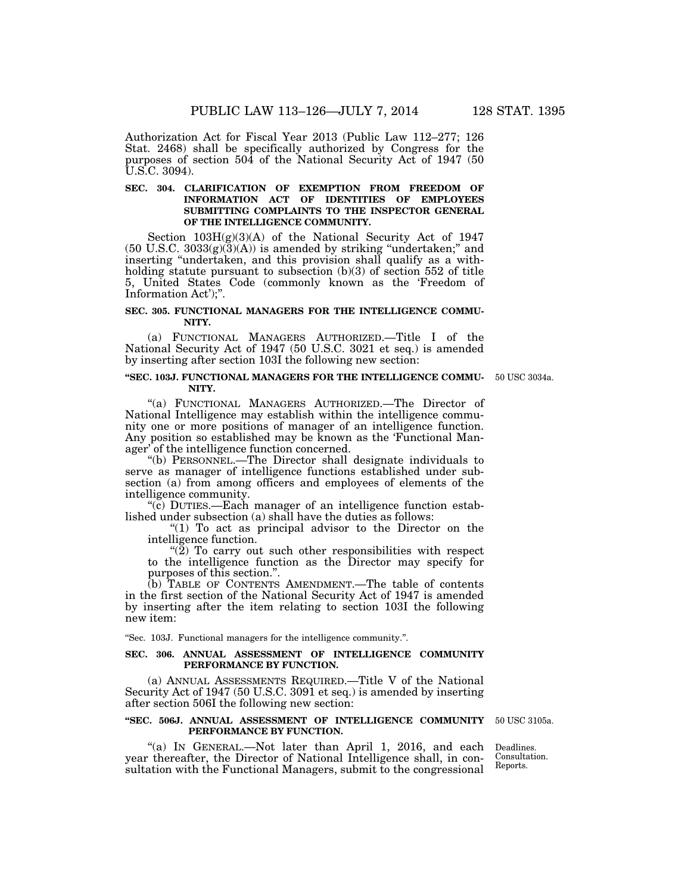Authorization Act for Fiscal Year 2013 (Public Law 112–277; 126 Stat. 2468) shall be specifically authorized by Congress for the purposes of section 504 of the National Security Act of 1947 (50 U.S.C. 3094).

#### SEC. 304. CLARIFICATION OF EXEMPTION FROM FREEDOM OF **INFORMATION ACT OF IDENTITIES OF EMPLOYEES SUBMITTING COMPLAINTS TO THE INSPECTOR GENERAL OF THE INTELLIGENCE COMMUNITY.**

Section  $103H(g)(3)(A)$  of the National Security Act of 1947  $(50 \text{ U.S.C. } 3033(g)(3)(A))$  is amended by striking "undertaken;" and inserting ''undertaken, and this provision shall qualify as a withholding statute pursuant to subsection (b)(3) of section 552 of title 5, United States Code (commonly known as the 'Freedom of Information Act');''.

#### **SEC. 305. FUNCTIONAL MANAGERS FOR THE INTELLIGENCE COMMU-NITY.**

(a) FUNCTIONAL MANAGERS AUTHORIZED.—Title I of the National Security Act of 1947 (50 U.S.C. 3021 et seq.) is amended by inserting after section 103I the following new section:

#### **''SEC. 103J. FUNCTIONAL MANAGERS FOR THE INTELLIGENCE COMMU-**50 USC 3034a. **NITY.**

''(a) FUNCTIONAL MANAGERS AUTHORIZED.—The Director of National Intelligence may establish within the intelligence community one or more positions of manager of an intelligence function. Any position so established may be known as the 'Functional Manager' of the intelligence function concerned.

''(b) PERSONNEL.—The Director shall designate individuals to serve as manager of intelligence functions established under subsection (a) from among officers and employees of elements of the intelligence community.

 $\overline{c}$ ) DUTIES.—Each manager of an intelligence function established under subsection (a) shall have the duties as follows:

" $(1)$  To act as principal advisor to the Director on the intelligence function.

" $(2)$  To carry out such other responsibilities with respect to the intelligence function as the Director may specify for purposes of this section.''.

(b) TABLE OF CONTENTS AMENDMENT.—The table of contents in the first section of the National Security Act of 1947 is amended by inserting after the item relating to section 103I the following new item:

''Sec. 103J. Functional managers for the intelligence community.''.

#### **SEC. 306. ANNUAL ASSESSMENT OF INTELLIGENCE COMMUNITY PERFORMANCE BY FUNCTION.**

(a) ANNUAL ASSESSMENTS REQUIRED.—Title V of the National Security Act of 1947 (50 U.S.C. 3091 et seq.) is amended by inserting after section 506I the following new section:

#### **''SEC. 506J. ANNUAL ASSESSMENT OF INTELLIGENCE COMMUNITY**  50 USC 3105a. **PERFORMANCE BY FUNCTION.**

"(a) IN GENERAL.—Not later than April 1, 2016, and each year thereafter, the Director of National Intelligence shall, in consultation with the Functional Managers, submit to the congressional

Deadlines. Consultation. Reports.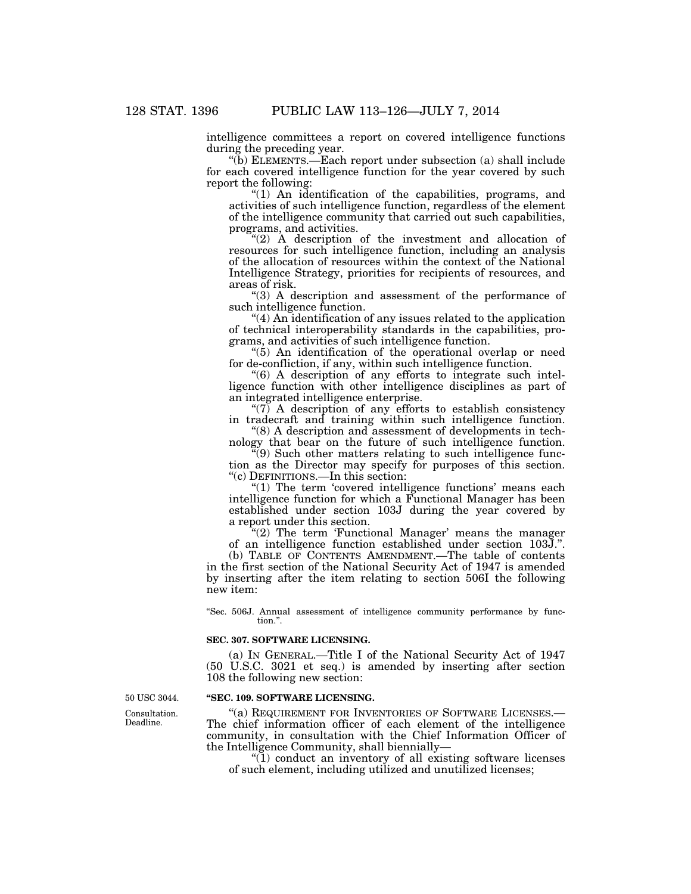intelligence committees a report on covered intelligence functions during the preceding year.

''(b) ELEMENTS.—Each report under subsection (a) shall include for each covered intelligence function for the year covered by such report the following:

''(1) An identification of the capabilities, programs, and activities of such intelligence function, regardless of the element of the intelligence community that carried out such capabilities, programs, and activities.

"(2) A description of the investment and allocation of resources for such intelligence function, including an analysis of the allocation of resources within the context of the National Intelligence Strategy, priorities for recipients of resources, and areas of risk.

"(3) A description and assessment of the performance of such intelligence function.

''(4) An identification of any issues related to the application of technical interoperability standards in the capabilities, programs, and activities of such intelligence function.

 $(5)$  An identification of the operational overlap or need for de-confliction, if any, within such intelligence function.

''(6) A description of any efforts to integrate such intelligence function with other intelligence disciplines as part of an integrated intelligence enterprise.

" $(7)$  A description of any efforts to establish consistency in tradecraft and training within such intelligence function.

''(8) A description and assessment of developments in technology that bear on the future of such intelligence function.

 $(9)$  Such other matters relating to such intelligence function as the Director may specify for purposes of this section. ''(c) DEFINITIONS.—In this section:

"(1) The term 'covered intelligence functions' means each intelligence function for which a Functional Manager has been established under section 103J during the year covered by a report under this section.

 $\mathcal{L}(2)$  The term 'Functional Manager' means the manager of an intelligence function established under section 103J.''.

(b) TABLE OF CONTENTS AMENDMENT.—The table of contents in the first section of the National Security Act of 1947 is amended by inserting after the item relating to section 506I the following new item:

''Sec. 506J. Annual assessment of intelligence community performance by function.''.

#### **SEC. 307. SOFTWARE LICENSING.**

(a) IN GENERAL.—Title I of the National Security Act of 1947 (50 U.S.C. 3021 et seq.) is amended by inserting after section 108 the following new section:

#### **''SEC. 109. SOFTWARE LICENSING.**

"(a) REQUIREMENT FOR INVENTORIES OF SOFTWARE LICENSES.-The chief information officer of each element of the intelligence community, in consultation with the Chief Information Officer of the Intelligence Community, shall biennially—

''(1) conduct an inventory of all existing software licenses of such element, including utilized and unutilized licenses;

50 USC 3044.

Consultation. Deadline.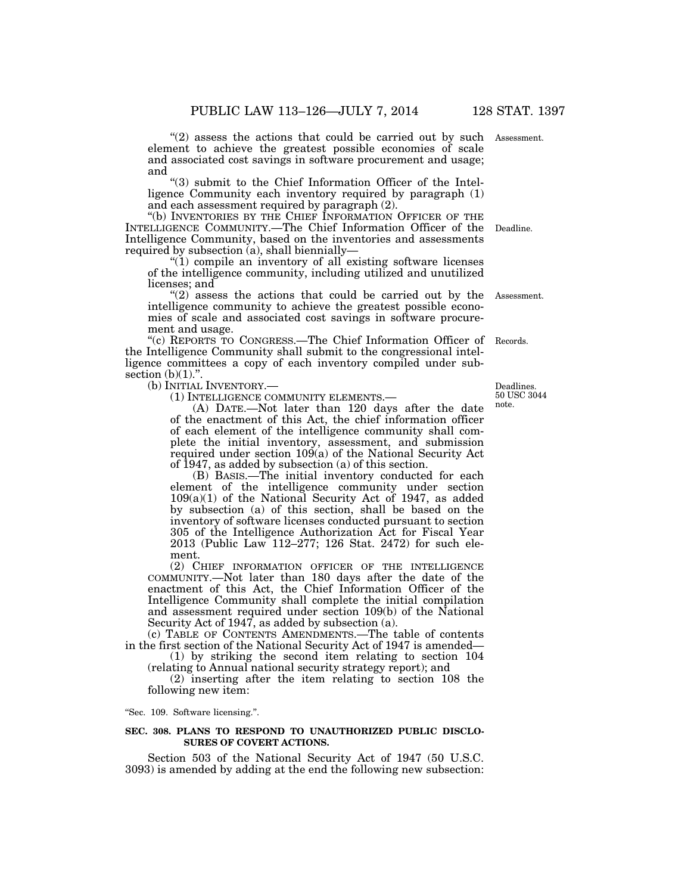"(2) assess the actions that could be carried out by such Assessment. element to achieve the greatest possible economies of scale and associated cost savings in software procurement and usage; and

''(3) submit to the Chief Information Officer of the Intelligence Community each inventory required by paragraph (1) and each assessment required by paragraph (2).

"(b) INVENTORIES BY THE CHIEF INFORMATION OFFICER OF THE INTELLIGENCE COMMUNITY.—The Chief Information Officer of the Intelligence Community, based on the inventories and assessments required by subsection (a), shall biennially—

 $(1)$  compile an inventory of all existing software licenses of the intelligence community, including utilized and unutilized licenses; and

 $''(2)$  assess the actions that could be carried out by the intelligence community to achieve the greatest possible economies of scale and associated cost savings in software procurement and usage.

"(c) REPORTS TO CONGRESS.—The Chief Information Officer of Records. the Intelligence Community shall submit to the congressional intelligence committees a copy of each inventory compiled under subsection  $(b)(1)$ ."

(b) INITIAL INVENTORY.—

(1) INTELLIGENCE COMMUNITY ELEMENTS.—

(A) DATE.—Not later than 120 days after the date of the enactment of this Act, the chief information officer of each element of the intelligence community shall complete the initial inventory, assessment, and submission required under section 109(a) of the National Security Act of 1947, as added by subsection (a) of this section.

(B) BASIS.—The initial inventory conducted for each element of the intelligence community under section 109(a)(1) of the National Security Act of 1947, as added by subsection (a) of this section, shall be based on the inventory of software licenses conducted pursuant to section 305 of the Intelligence Authorization Act for Fiscal Year 2013 (Public Law 112–277; 126 Stat. 2472) for such element.

(2) CHIEF INFORMATION OFFICER OF THE INTELLIGENCE COMMUNITY.—Not later than 180 days after the date of the enactment of this Act, the Chief Information Officer of the Intelligence Community shall complete the initial compilation and assessment required under section 109(b) of the National Security Act of 1947, as added by subsection (a).

(c) TABLE OF CONTENTS AMENDMENTS.—The table of contents in the first section of the National Security Act of 1947 is amended—

(1) by striking the second item relating to section 104 (relating to Annual national security strategy report); and

(2) inserting after the item relating to section 108 the following new item:

''Sec. 109. Software licensing.''.

#### **SEC. 308. PLANS TO RESPOND TO UNAUTHORIZED PUBLIC DISCLO-SURES OF COVERT ACTIONS.**

Section 503 of the National Security Act of 1947 (50 U.S.C. 3093) is amended by adding at the end the following new subsection:

Deadlines. 50 USC 3044 note.

Deadline.

Assessment.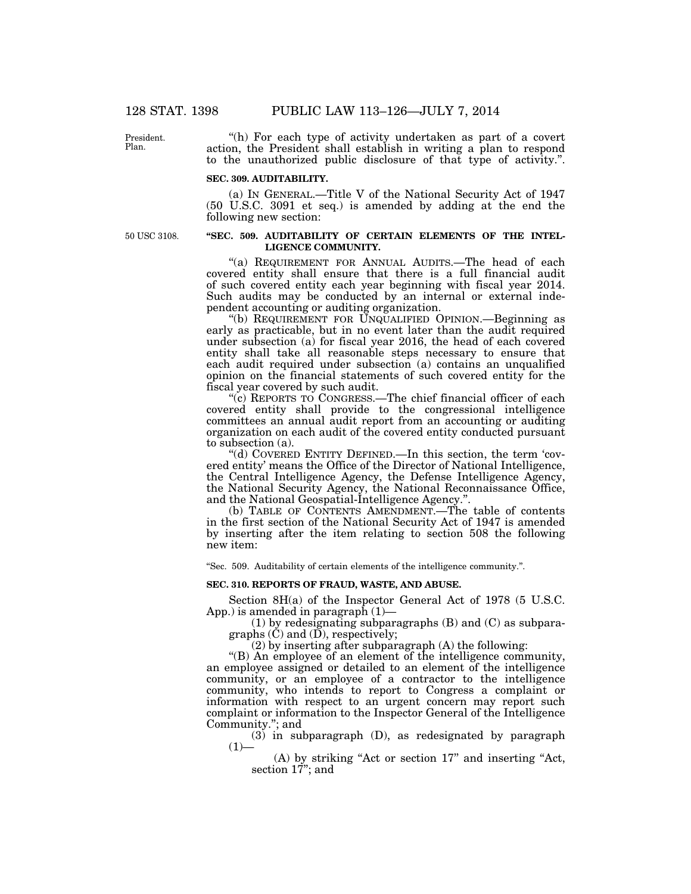President. Plan.

"(h) For each type of activity undertaken as part of a covert action, the President shall establish in writing a plan to respond to the unauthorized public disclosure of that type of activity.''.

#### **SEC. 309. AUDITABILITY.**

(a) IN GENERAL.—Title V of the National Security Act of 1947 (50 U.S.C. 3091 et seq.) is amended by adding at the end the following new section:

50 USC 3108.

#### **''SEC. 509. AUDITABILITY OF CERTAIN ELEMENTS OF THE INTEL-LIGENCE COMMUNITY.**

"(a) REQUIREMENT FOR ANNUAL AUDITS.—The head of each covered entity shall ensure that there is a full financial audit of such covered entity each year beginning with fiscal year 2014. Such audits may be conducted by an internal or external independent accounting or auditing organization.

''(b) REQUIREMENT FOR UNQUALIFIED OPINION.—Beginning as early as practicable, but in no event later than the audit required under subsection (a) for fiscal year 2016, the head of each covered entity shall take all reasonable steps necessary to ensure that each audit required under subsection (a) contains an unqualified opinion on the financial statements of such covered entity for the fiscal year covered by such audit.

''(c) REPORTS TO CONGRESS.—The chief financial officer of each covered entity shall provide to the congressional intelligence committees an annual audit report from an accounting or auditing organization on each audit of the covered entity conducted pursuant to subsection (a).

''(d) COVERED ENTITY DEFINED.—In this section, the term 'covered entity' means the Office of the Director of National Intelligence, the Central Intelligence Agency, the Defense Intelligence Agency, the National Security Agency, the National Reconnaissance Office, and the National Geospatial-Intelligence Agency.''.

(b) TABLE OF CONTENTS AMENDMENT.—The table of contents in the first section of the National Security Act of 1947 is amended by inserting after the item relating to section 508 the following new item:

''Sec. 509. Auditability of certain elements of the intelligence community.''.

### **SEC. 310. REPORTS OF FRAUD, WASTE, AND ABUSE.**

Section 8H(a) of the Inspector General Act of 1978 (5 U.S.C. App.) is amended in paragraph (1)—

(1) by redesignating subparagraphs (B) and (C) as subparagraphs  $(\check{C})$  and  $(\check{D})$ , respectively;

(2) by inserting after subparagraph (A) the following:

''(B) An employee of an element of the intelligence community, an employee assigned or detailed to an element of the intelligence community, or an employee of a contractor to the intelligence community, who intends to report to Congress a complaint or information with respect to an urgent concern may report such complaint or information to the Inspector General of the Intelligence Community.''; and

(3) in subparagraph (D), as redesignated by paragraph  $(1)$ —

(A) by striking ''Act or section 17'' and inserting ''Act, section  $17$ "; and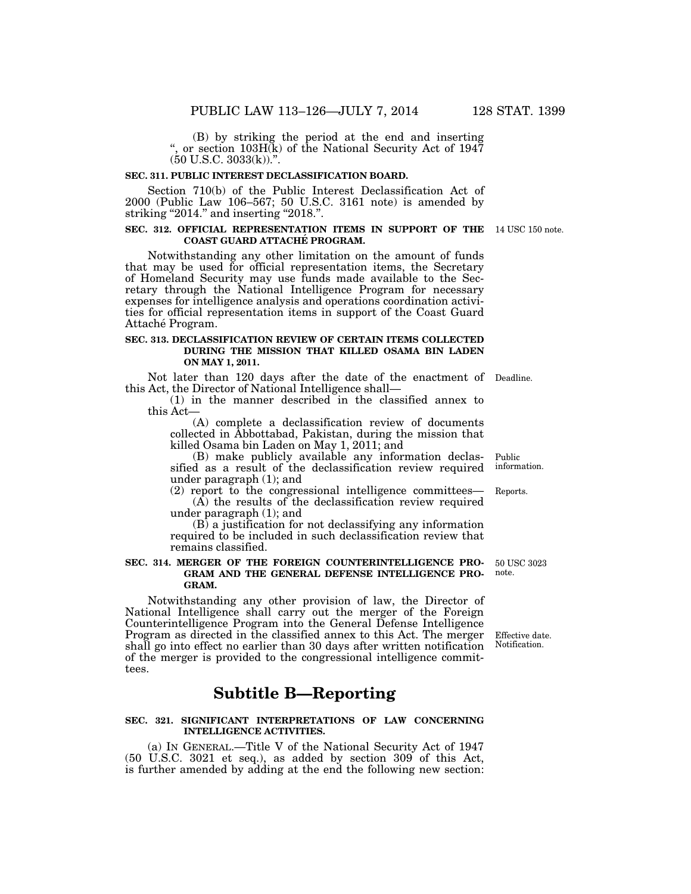(B) by striking the period at the end and inserting '', or section 103H(k) of the National Security Act of 1947  $(50 \text{ U.S.C. } 3033(\text{k}))$ .".

#### **SEC. 311. PUBLIC INTEREST DECLASSIFICATION BOARD.**

Section 710(b) of the Public Interest Declassification Act of 2000 (Public Law 106–567; 50 U.S.C. 3161 note) is amended by striking "2014." and inserting "2018.".

#### **SEC. 312. OFFICIAL REPRESENTATION ITEMS IN SUPPORT OF THE**  14 USC 150 note. **COAST GUARD ATTACHE´ PROGRAM.**

Notwithstanding any other limitation on the amount of funds that may be used for official representation items, the Secretary of Homeland Security may use funds made available to the Secretary through the National Intelligence Program for necessary expenses for intelligence analysis and operations coordination activities for official representation items in support of the Coast Guard Attaché Program.

#### **SEC. 313. DECLASSIFICATION REVIEW OF CERTAIN ITEMS COLLECTED DURING THE MISSION THAT KILLED OSAMA BIN LADEN ON MAY 1, 2011.**

Not later than 120 days after the date of the enactment of Deadline. this Act, the Director of National Intelligence shall—

(1) in the manner described in the classified annex to this Act—

(A) complete a declassification review of documents collected in Abbottabad, Pakistan, during the mission that killed Osama bin Laden on May 1, 2011; and

(B) make publicly available any information declassified as a result of the declassification review required under paragraph (1); and Public

(2) report to the congressional intelligence committees—  $(A)$  the results of the declassification review required under paragraph (1); and

(B) a justification for not declassifying any information required to be included in such declassification review that remains classified.

#### **SEC. 314. MERGER OF THE FOREIGN COUNTERINTELLIGENCE PRO-GRAM AND THE GENERAL DEFENSE INTELLIGENCE PRO-GRAM.**

Notwithstanding any other provision of law, the Director of National Intelligence shall carry out the merger of the Foreign Counterintelligence Program into the General Defense Intelligence Program as directed in the classified annex to this Act. The merger shall go into effect no earlier than 30 days after written notification of the merger is provided to the congressional intelligence committees.

### **Subtitle B—Reporting**

#### **SEC. 321. SIGNIFICANT INTERPRETATIONS OF LAW CONCERNING INTELLIGENCE ACTIVITIES.**

(a) IN GENERAL.—Title V of the National Security Act of 1947 (50 U.S.C. 3021 et seq.), as added by section 309 of this Act, is further amended by adding at the end the following new section:

information.

Reports.

50 USC 3023 note.

Effective date. Notification.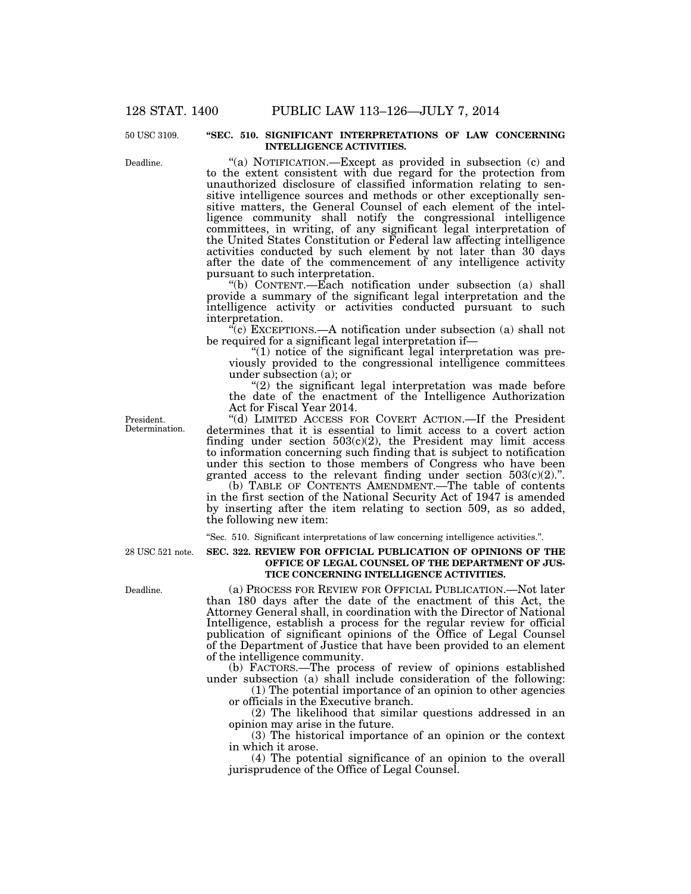#### **''SEC. 510. SIGNIFICANT INTERPRETATIONS OF LAW CONCERNING INTELLIGENCE ACTIVITIES.**

"(a) NOTIFICATION.—Except as provided in subsection (c) and to the extent consistent with due regard for the protection from unauthorized disclosure of classified information relating to sensitive intelligence sources and methods or other exceptionally sensitive matters, the General Counsel of each element of the intelligence community shall notify the congressional intelligence committees, in writing, of any significant legal interpretation of the United States Constitution or Federal law affecting intelligence activities conducted by such element by not later than 30 days after the date of the commencement of any intelligence activity pursuant to such interpretation.

''(b) CONTENT.—Each notification under subsection (a) shall provide a summary of the significant legal interpretation and the intelligence activity or activities conducted pursuant to such interpretation.

 $\mathcal{F}(c)$  EXCEPTIONS.—A notification under subsection (a) shall not be required for a significant legal interpretation if—

 $"(1)$  notice of the significant legal interpretation was previously provided to the congressional intelligence committees under subsection (a); or

"(2) the significant legal interpretation was made before the date of the enactment of the Intelligence Authorization Act for Fiscal Year 2014.

''(d) LIMITED ACCESS FOR COVERT ACTION.—If the President determines that it is essential to limit access to a covert action finding under section  $503(c)(2)$ , the President may limit access to information concerning such finding that is subject to notification under this section to those members of Congress who have been granted access to the relevant finding under section  $503(c)(2)$ .".

(b) TABLE OF CONTENTS AMENDMENT.—The table of contents in the first section of the National Security Act of 1947 is amended by inserting after the item relating to section 509, as so added, the following new item:

''Sec. 510. Significant interpretations of law concerning intelligence activities.''.

28 USC 521 note.

Deadline.

#### **SEC. 322. REVIEW FOR OFFICIAL PUBLICATION OF OPINIONS OF THE OFFICE OF LEGAL COUNSEL OF THE DEPARTMENT OF JUS-TICE CONCERNING INTELLIGENCE ACTIVITIES.**

(a) PROCESS FOR REVIEW FOR OFFICIAL PUBLICATION.—Not later than 180 days after the date of the enactment of this Act, the Attorney General shall, in coordination with the Director of National Intelligence, establish a process for the regular review for official publication of significant opinions of the Office of Legal Counsel of the Department of Justice that have been provided to an element of the intelligence community.

(b) FACTORS.—The process of review of opinions established under subsection (a) shall include consideration of the following:

(1) The potential importance of an opinion to other agencies or officials in the Executive branch.

(2) The likelihood that similar questions addressed in an opinion may arise in the future.

(3) The historical importance of an opinion or the context in which it arose.

(4) The potential significance of an opinion to the overall jurisprudence of the Office of Legal Counsel.

President. Determination.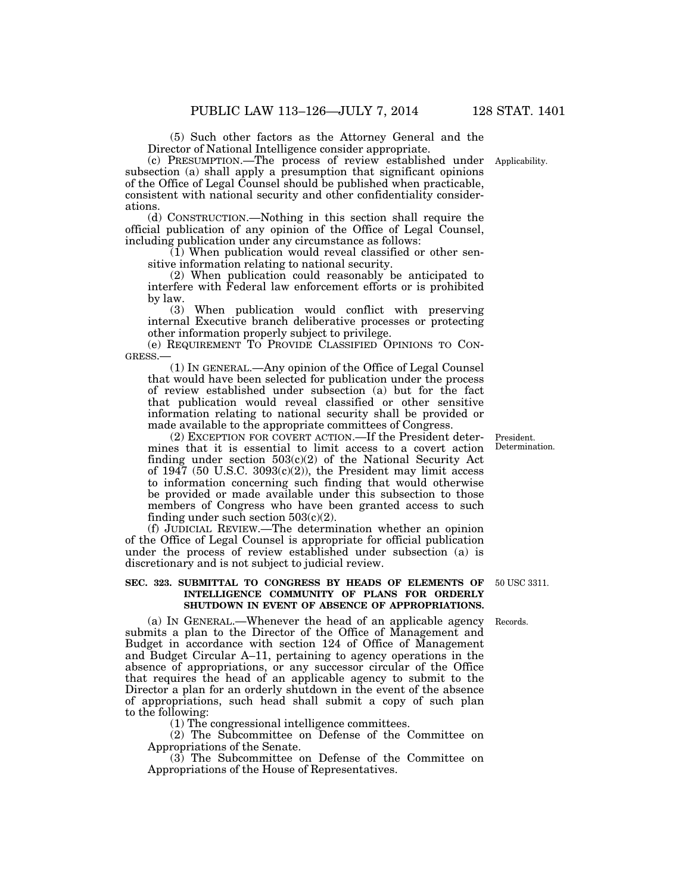(5) Such other factors as the Attorney General and the Director of National Intelligence consider appropriate.

(c) PRESUMPTION.—The process of review established under subsection (a) shall apply a presumption that significant opinions of the Office of Legal Counsel should be published when practicable, consistent with national security and other confidentiality considerations.

(d) CONSTRUCTION.—Nothing in this section shall require the official publication of any opinion of the Office of Legal Counsel, including publication under any circumstance as follows:

(1) When publication would reveal classified or other sensitive information relating to national security.

(2) When publication could reasonably be anticipated to interfere with Federal law enforcement efforts or is prohibited by law.

(3) When publication would conflict with preserving internal Executive branch deliberative processes or protecting other information properly subject to privilege.

(e) REQUIREMENT TO PROVIDE CLASSIFIED OPINIONS TO CON-GRESS.—

(1) IN GENERAL.—Any opinion of the Office of Legal Counsel that would have been selected for publication under the process of review established under subsection (a) but for the fact that publication would reveal classified or other sensitive information relating to national security shall be provided or made available to the appropriate committees of Congress.

(2) EXCEPTION FOR COVERT ACTION.—If the President determines that it is essential to limit access to a covert action finding under section  $503(c)(2)$  of the National Security Act of  $1947$  (50 U.S.C.  $3093(c)(2)$ ), the President may limit access to information concerning such finding that would otherwise be provided or made available under this subsection to those members of Congress who have been granted access to such finding under such section  $503(c)(2)$ .

(f) JUDICIAL REVIEW.—The determination whether an opinion of the Office of Legal Counsel is appropriate for official publication under the process of review established under subsection (a) is discretionary and is not subject to judicial review.

#### **SEC. 323. SUBMITTAL TO CONGRESS BY HEADS OF ELEMENTS OF INTELLIGENCE COMMUNITY OF PLANS FOR ORDERLY SHUTDOWN IN EVENT OF ABSENCE OF APPROPRIATIONS.**

(a) IN GENERAL.—Whenever the head of an applicable agency submits a plan to the Director of the Office of Management and Budget in accordance with section 124 of Office of Management and Budget Circular A–11, pertaining to agency operations in the absence of appropriations, or any successor circular of the Office that requires the head of an applicable agency to submit to the Director a plan for an orderly shutdown in the event of the absence of appropriations, such head shall submit a copy of such plan to the following:

(1) The congressional intelligence committees.

(2) The Subcommittee on Defense of the Committee on Appropriations of the Senate.

(3) The Subcommittee on Defense of the Committee on Appropriations of the House of Representatives.

50 USC 3311.

Records.

President. Determination.

Applicability.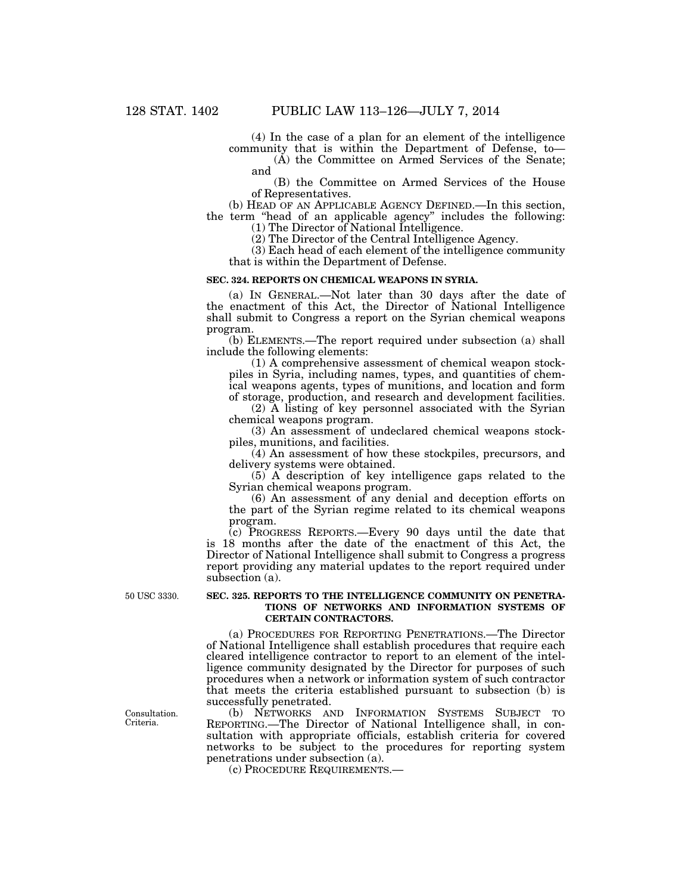(4) In the case of a plan for an element of the intelligence community that is within the Department of Defense, to—

(A) the Committee on Armed Services of the Senate; and

(B) the Committee on Armed Services of the House of Representatives.

(b) HEAD OF AN APPLICABLE AGENCY DEFINED.—In this section, the term ''head of an applicable agency'' includes the following: (1) The Director of National Intelligence.

(2) The Director of the Central Intelligence Agency.

(3) Each head of each element of the intelligence community that is within the Department of Defense.

#### **SEC. 324. REPORTS ON CHEMICAL WEAPONS IN SYRIA.**

(a) IN GENERAL.—Not later than 30 days after the date of the enactment of this Act, the Director of National Intelligence shall submit to Congress a report on the Syrian chemical weapons program.

(b) ELEMENTS.—The report required under subsection (a) shall include the following elements:

(1) A comprehensive assessment of chemical weapon stockpiles in Syria, including names, types, and quantities of chemical weapons agents, types of munitions, and location and form of storage, production, and research and development facilities.

(2) A listing of key personnel associated with the Syrian chemical weapons program.

(3) An assessment of undeclared chemical weapons stockpiles, munitions, and facilities.

(4) An assessment of how these stockpiles, precursors, and delivery systems were obtained.

(5) A description of key intelligence gaps related to the Syrian chemical weapons program.

(6) An assessment of any denial and deception efforts on the part of the Syrian regime related to its chemical weapons program.

(c) PROGRESS REPORTS.—Every 90 days until the date that is 18 months after the date of the enactment of this Act, the Director of National Intelligence shall submit to Congress a progress report providing any material updates to the report required under subsection (a).

50 USC 3330.

#### **SEC. 325. REPORTS TO THE INTELLIGENCE COMMUNITY ON PENETRA-TIONS OF NETWORKS AND INFORMATION SYSTEMS OF CERTAIN CONTRACTORS.**

(a) PROCEDURES FOR REPORTING PENETRATIONS.—The Director of National Intelligence shall establish procedures that require each cleared intelligence contractor to report to an element of the intelligence community designated by the Director for purposes of such procedures when a network or information system of such contractor that meets the criteria established pursuant to subsection (b) is successfully penetrated.

(b) NETWORKS AND INFORMATION SYSTEMS SUBJECT TO REPORTING.—The Director of National Intelligence shall, in consultation with appropriate officials, establish criteria for covered networks to be subject to the procedures for reporting system penetrations under subsection (a).

(c) PROCEDURE REQUIREMENTS.—

Consultation. Criteria.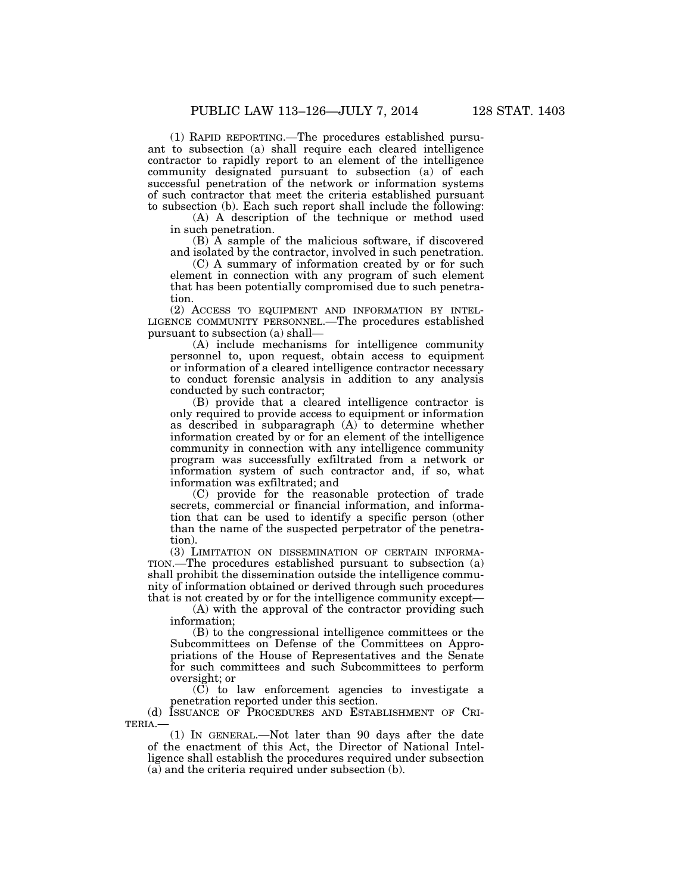(1) RAPID REPORTING.—The procedures established pursuant to subsection (a) shall require each cleared intelligence contractor to rapidly report to an element of the intelligence community designated pursuant to subsection (a) of each successful penetration of the network or information systems of such contractor that meet the criteria established pursuant to subsection (b). Each such report shall include the following:

(A) A description of the technique or method used in such penetration.

(B) A sample of the malicious software, if discovered and isolated by the contractor, involved in such penetration.

(C) A summary of information created by or for such element in connection with any program of such element that has been potentially compromised due to such penetration.

(2) ACCESS TO EQUIPMENT AND INFORMATION BY INTEL-LIGENCE COMMUNITY PERSONNEL.—The procedures established pursuant to subsection (a) shall—

(A) include mechanisms for intelligence community personnel to, upon request, obtain access to equipment or information of a cleared intelligence contractor necessary to conduct forensic analysis in addition to any analysis conducted by such contractor;

(B) provide that a cleared intelligence contractor is only required to provide access to equipment or information as described in subparagraph (A) to determine whether information created by or for an element of the intelligence community in connection with any intelligence community program was successfully exfiltrated from a network or information system of such contractor and, if so, what information was exfiltrated; and

(C) provide for the reasonable protection of trade secrets, commercial or financial information, and information that can be used to identify a specific person (other than the name of the suspected perpetrator of the penetration).

(3) LIMITATION ON DISSEMINATION OF CERTAIN INFORMA-TION.—The procedures established pursuant to subsection (a) shall prohibit the dissemination outside the intelligence community of information obtained or derived through such procedures that is not created by or for the intelligence community except—

(A) with the approval of the contractor providing such information;

(B) to the congressional intelligence committees or the Subcommittees on Defense of the Committees on Appropriations of the House of Representatives and the Senate for such committees and such Subcommittees to perform oversight; or

(C) to law enforcement agencies to investigate a penetration reported under this section.

(d) ISSUANCE OF PROCEDURES AND ESTABLISHMENT OF CRI-TERIA.—

(1) IN GENERAL.—Not later than 90 days after the date of the enactment of this Act, the Director of National Intelligence shall establish the procedures required under subsection (a) and the criteria required under subsection (b).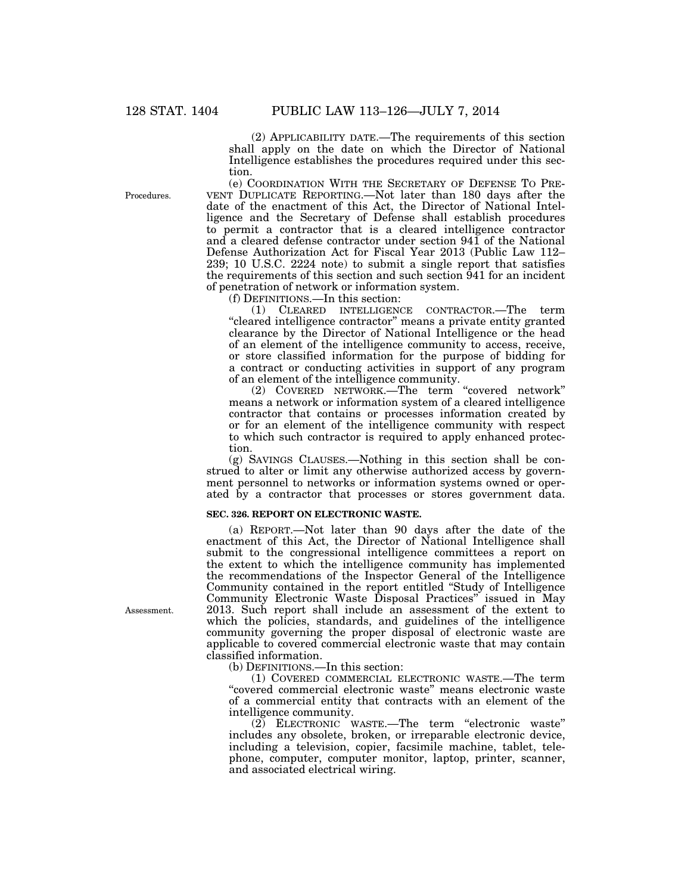(2) APPLICABILITY DATE.—The requirements of this section shall apply on the date on which the Director of National Intelligence establishes the procedures required under this section.

Procedures.

(e) COORDINATION WITH THE SECRETARY OF DEFENSE TO PRE-VENT DUPLICATE REPORTING.—Not later than 180 days after the date of the enactment of this Act, the Director of National Intelligence and the Secretary of Defense shall establish procedures to permit a contractor that is a cleared intelligence contractor and a cleared defense contractor under section 941 of the National Defense Authorization Act for Fiscal Year 2013 (Public Law 112– 239; 10 U.S.C. 2224 note) to submit a single report that satisfies the requirements of this section and such section 941 for an incident of penetration of network or information system.

(f) DEFINITIONS.—In this section:

(1) CLEARED INTELLIGENCE CONTRACTOR.—The term "cleared intelligence contractor" means a private entity granted clearance by the Director of National Intelligence or the head of an element of the intelligence community to access, receive, or store classified information for the purpose of bidding for a contract or conducting activities in support of any program of an element of the intelligence community.

(2) COVERED NETWORK.—The term ''covered network'' means a network or information system of a cleared intelligence contractor that contains or processes information created by or for an element of the intelligence community with respect to which such contractor is required to apply enhanced protection.

(g) SAVINGS CLAUSES.—Nothing in this section shall be construed to alter or limit any otherwise authorized access by government personnel to networks or information systems owned or operated by a contractor that processes or stores government data.

#### **SEC. 326. REPORT ON ELECTRONIC WASTE.**

(a) REPORT.—Not later than 90 days after the date of the enactment of this Act, the Director of National Intelligence shall submit to the congressional intelligence committees a report on the extent to which the intelligence community has implemented the recommendations of the Inspector General of the Intelligence Community contained in the report entitled ''Study of Intelligence Community Electronic Waste Disposal Practices'' issued in May 2013. Such report shall include an assessment of the extent to which the policies, standards, and guidelines of the intelligence community governing the proper disposal of electronic waste are applicable to covered commercial electronic waste that may contain classified information.

(b) DEFINITIONS.—In this section:

(1) COVERED COMMERCIAL ELECTRONIC WASTE.—The term "covered commercial electronic waste" means electronic waste of a commercial entity that contracts with an element of the intelligence community.

(2) ELECTRONIC WASTE.—The term ''electronic waste'' includes any obsolete, broken, or irreparable electronic device, including a television, copier, facsimile machine, tablet, telephone, computer, computer monitor, laptop, printer, scanner, and associated electrical wiring.

Assessment.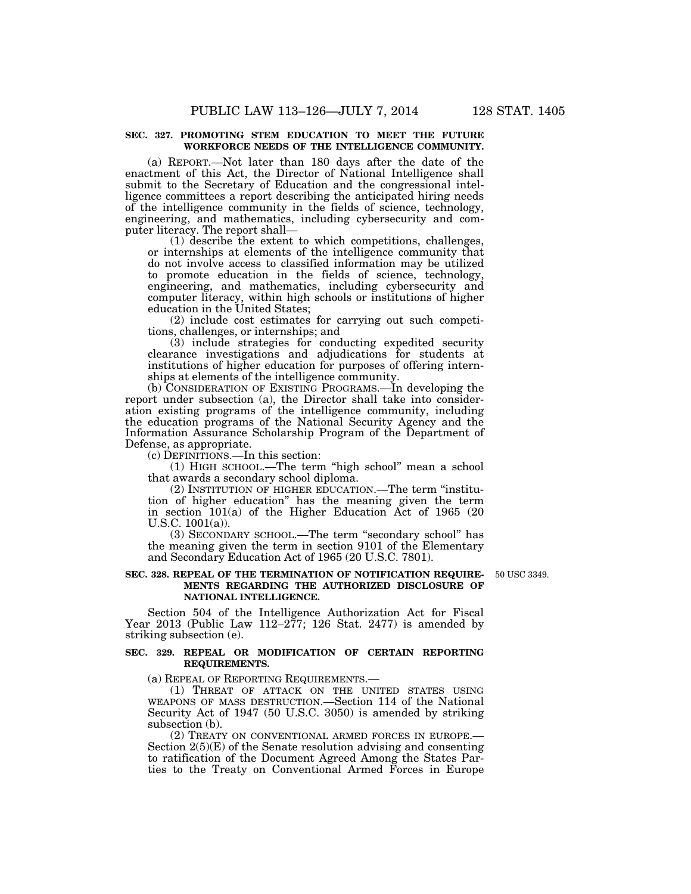#### **SEC. 327. PROMOTING STEM EDUCATION TO MEET THE FUTURE WORKFORCE NEEDS OF THE INTELLIGENCE COMMUNITY.**

(a) REPORT.—Not later than 180 days after the date of the enactment of this Act, the Director of National Intelligence shall submit to the Secretary of Education and the congressional intelligence committees a report describing the anticipated hiring needs of the intelligence community in the fields of science, technology, engineering, and mathematics, including cybersecurity and computer literacy. The report shall—

(1) describe the extent to which competitions, challenges, or internships at elements of the intelligence community that do not involve access to classified information may be utilized to promote education in the fields of science, technology, engineering, and mathematics, including cybersecurity and computer literacy, within high schools or institutions of higher education in the United States;

(2) include cost estimates for carrying out such competitions, challenges, or internships; and

(3) include strategies for conducting expedited security clearance investigations and adjudications for students at institutions of higher education for purposes of offering internships at elements of the intelligence community.

(b) CONSIDERATION OF EXISTING PROGRAMS.—In developing the report under subsection (a), the Director shall take into consideration existing programs of the intelligence community, including the education programs of the National Security Agency and the Information Assurance Scholarship Program of the Department of Defense, as appropriate.

(c) DEFINITIONS.—In this section:

(1) HIGH SCHOOL.—The term ''high school'' mean a school that awards a secondary school diploma.

(2) INSTITUTION OF HIGHER EDUCATION.—The term ''institution of higher education'' has the meaning given the term in section 101(a) of the Higher Education Act of 1965 (20 U.S.C. 1001(a)).

(3) SECONDARY SCHOOL.—The term ''secondary school'' has the meaning given the term in section 9101 of the Elementary and Secondary Education Act of 1965 (20 U.S.C. 7801).

#### **SEC. 328. REPEAL OF THE TERMINATION OF NOTIFICATION REQUIRE-MENTS REGARDING THE AUTHORIZED DISCLOSURE OF NATIONAL INTELLIGENCE.**

50 USC 3349.

Section 504 of the Intelligence Authorization Act for Fiscal Year 2013 (Public Law 112–277; 126 Stat. 2477) is amended by striking subsection (e).

#### **SEC. 329. REPEAL OR MODIFICATION OF CERTAIN REPORTING REQUIREMENTS.**

(a) REPEAL OF REPORTING REQUIREMENTS.—

(1) THREAT OF ATTACK ON THE UNITED STATES USING WEAPONS OF MASS DESTRUCTION.—Section 114 of the National Security Act of 1947 (50 U.S.C. 3050) is amended by striking subsection (b).

(2) TREATY ON CONVENTIONAL ARMED FORCES IN EUROPE.— Section 2(5)(E) of the Senate resolution advising and consenting to ratification of the Document Agreed Among the States Parties to the Treaty on Conventional Armed Forces in Europe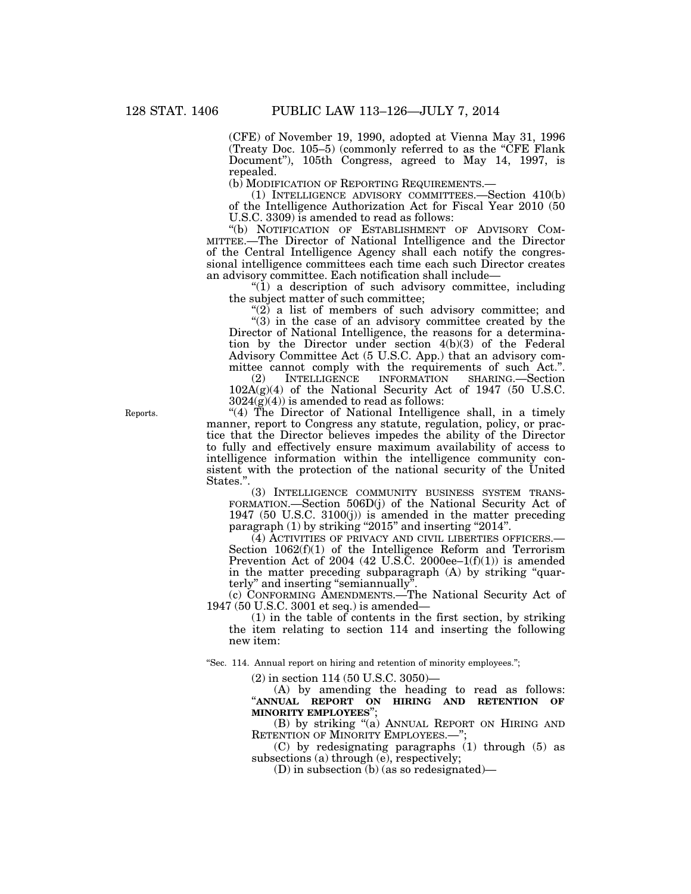(CFE) of November 19, 1990, adopted at Vienna May 31, 1996 (Treaty Doc. 105–5) (commonly referred to as the ''CFE Flank Document''), 105th Congress, agreed to May 14, 1997, is repealed.

(b) MODIFICATION OF REPORTING REQUIREMENTS.—

(1) INTELLIGENCE ADVISORY COMMITTEES.—Section 410(b) of the Intelligence Authorization Act for Fiscal Year 2010 (50 U.S.C. 3309) is amended to read as follows:

''(b) NOTIFICATION OF ESTABLISHMENT OF ADVISORY COM-MITTEE.—The Director of National Intelligence and the Director of the Central Intelligence Agency shall each notify the congressional intelligence committees each time each such Director creates an advisory committee. Each notification shall include—

 $\ddot{a}$  a description of such advisory committee, including the subject matter of such committee;

"(2) a list of members of such advisory committee; and

 $'(3)$  in the case of an advisory committee created by the Director of National Intelligence, the reasons for a determination by the Director under section 4(b)(3) of the Federal Advisory Committee Act (5 U.S.C. App.) that an advisory committee cannot comply with the requirements of such Act.".<br>(2) INTELLIGENCE INFORMATION SHARING.—Section

SHARING.—Section  $102A(g)(4)$  of the National Security Act of 1947 (50 U.S.C.  $3024(g)(4)$  is amended to read as follows:

"(4) The Director of National Intelligence shall, in a timely manner, report to Congress any statute, regulation, policy, or practice that the Director believes impedes the ability of the Director to fully and effectively ensure maximum availability of access to intelligence information within the intelligence community consistent with the protection of the national security of the United States.''.

(3) INTELLIGENCE COMMUNITY BUSINESS SYSTEM TRANS-FORMATION.—Section 506D(j) of the National Security Act of 1947 (50 U.S.C. 3100(j)) is amended in the matter preceding paragraph  $(1)$  by striking "2015" and inserting "2014".

(4) ACTIVITIES OF PRIVACY AND CIVIL LIBERTIES OFFICERS.— Section 1062(f)(1) of the Intelligence Reform and Terrorism Prevention Act of 2004 (42 U.S.C. 2000ee– $1(f)(1)$ ) is amended in the matter preceding subparagraph (A) by striking "quarterly'' and inserting ''semiannually''.

(c) CONFORMING AMENDMENTS.—The National Security Act of 1947 (50 U.S.C. 3001 et seq.) is amended—

(1) in the table of contents in the first section, by striking the item relating to section 114 and inserting the following new item:

"Sec. 114. Annual report on hiring and retention of minority employees.";

(2) in section 114 (50 U.S.C. 3050)—

(A) by amending the heading to read as follows: ''**ANNUAL REPORT ON HIRING AND RETENTION OF MINORITY EMPLOYEES**'';

(B) by striking "(a) ANNUAL REPORT ON HIRING AND RETENTION OF MINORITY EMPLOYEES.-";

(C) by redesignating paragraphs (1) through (5) as subsections (a) through (e), respectively;

(D) in subsection (b) (as so redesignated)—

Reports.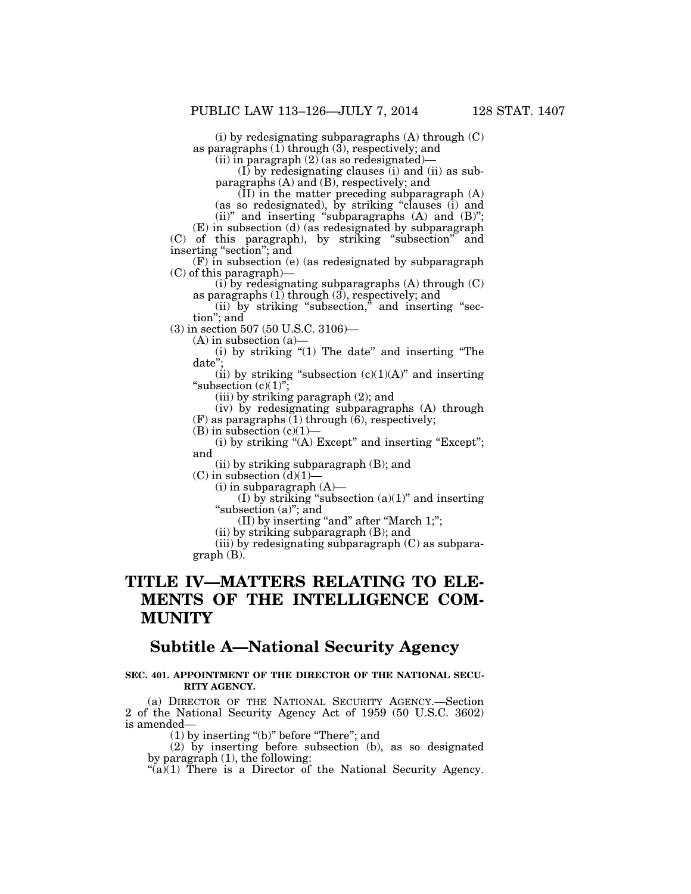(i) by redesignating subparagraphs (A) through (C) as paragraphs (1) through (3), respectively; and

(ii) in paragraph  $(2)$  (as so redesignated)–

(I) by redesignating clauses (i) and (ii) as subparagraphs (A) and (B), respectively; and

 $(II)$  in the matter preceding subparagraph  $(A)$ (as so redesignated), by striking ''clauses (i) and

(ii)" and inserting "subparagraphs  $(A)$  and  $(B)$ ";

(E) in subsection (d) (as redesignated by subparagraph (C) of this paragraph), by striking ''subsection'' and inserting ''section''; and

(F) in subsection (e) (as redesignated by subparagraph (C) of this paragraph)—

(i) by redesignating subparagraphs (A) through (C) as paragraphs  $(1)$  through  $(3)$ , respectively; and

 $(ii)$  by striking "subsection," and inserting "section''; and

(3) in section 507 (50 U.S.C. 3106)—<br>(A) in subsection (a)—

(A) in subsection (a)—

(i) by striking ''(1) The date'' and inserting ''The date'';

(ii) by striking "subsection  $(c)(1)(A)$ " and inserting "subsection  $(c)(1)$ ";

(iii) by striking paragraph (2); and

(iv) by redesignating subparagraphs (A) through (F) as paragraphs (1) through (6), respectively;

 $(B)$  in subsection  $(c)(1)$ —

(i) by striking " $(A)$  Except" and inserting "Except"; and

(ii) by striking subparagraph (B); and

 $(C)$  in subsection  $(d)(1)$ -

 $(i)$  in subparagraph  $(A)$ —

(I) by striking "subsection  $(a)(1)$ " and inserting "subsection (a)"; and

(II) by inserting "and" after "March 1;";

(ii) by striking subparagraph (B); and

(iii) by redesignating subparagraph (C) as subparagraph (B).

# **TITLE IV—MATTERS RELATING TO ELE-MENTS OF THE INTELLIGENCE COM-MUNITY**

# **Subtitle A—National Security Agency**

#### **SEC. 401. APPOINTMENT OF THE DIRECTOR OF THE NATIONAL SECU-RITY AGENCY.**

(a) DIRECTOR OF THE NATIONAL SECURITY AGENCY.—Section 2 of the National Security Agency Act of 1959 (50 U.S.C. 3602) is amended—

(1) by inserting ''(b)'' before ''There''; and

(2) by inserting before subsection (b), as so designated by paragraph (1), the following:

" $(a)(1)$  There is a Director of the National Security Agency.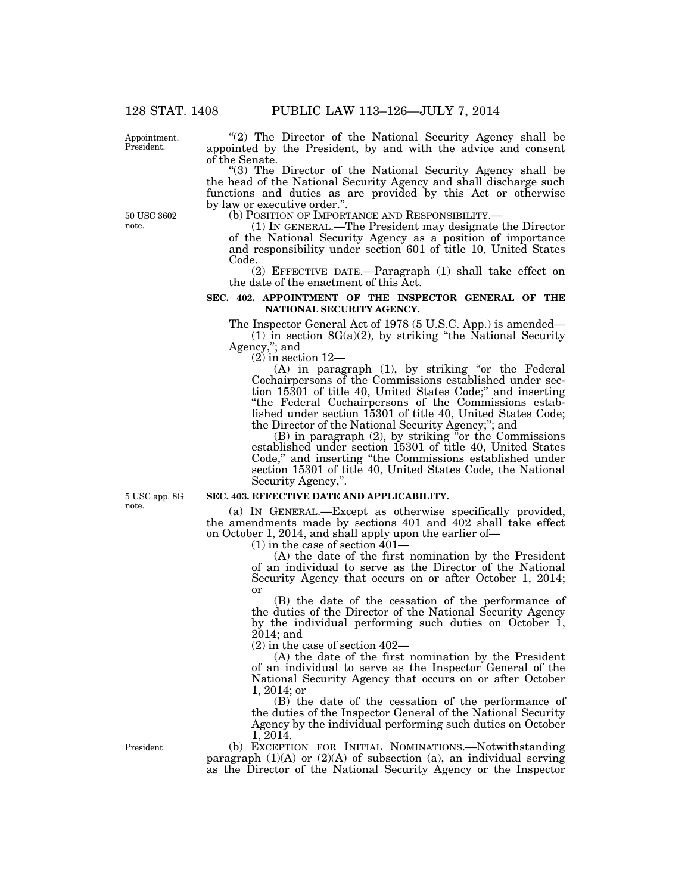Appointment. President.

50 USC 3602 note.

"(2) The Director of the National Security Agency shall be appointed by the President, by and with the advice and consent of the Senate.

''(3) The Director of the National Security Agency shall be the head of the National Security Agency and shall discharge such functions and duties as are provided by this Act or otherwise by law or executive order.".<br>(b) POSITION OF IMPORTANCE AND RESPONSIBILITY.—

 $(1)$  In GENERAL.—The President may designate the Director of the National Security Agency as a position of importance and responsibility under section 601 of title 10, United States Code.

(2) EFFECTIVE DATE.—Paragraph (1) shall take effect on the date of the enactment of this Act.

#### **SEC. 402. APPOINTMENT OF THE INSPECTOR GENERAL OF THE NATIONAL SECURITY AGENCY.**

The Inspector General Act of 1978 (5 U.S.C. App.) is amended—  $(1)$  in section 8G(a)(2), by striking "the National Security Agency,''; and

(2) in section 12—

(A) in paragraph (1), by striking ''or the Federal Cochairpersons of the Commissions established under section 15301 of title 40, United States Code;'' and inserting "the Federal Cochairpersons of the Commissions established under section 15301 of title 40, United States Code; the Director of the National Security Agency;''; and

(B) in paragraph (2), by striking ''or the Commissions established under section 15301 of title 40, United States Code,'' and inserting ''the Commissions established under section 15301 of title 40, United States Code, the National Security Agency,''.

**SEC. 403. EFFECTIVE DATE AND APPLICABILITY.** 

(a) IN GENERAL.—Except as otherwise specifically provided, the amendments made by sections 401 and 402 shall take effect on October 1, 2014, and shall apply upon the earlier of—

 $(1)$  in the case of section  $401-$ 

(A) the date of the first nomination by the President of an individual to serve as the Director of the National Security Agency that occurs on or after October 1, 2014; or

(B) the date of the cessation of the performance of the duties of the Director of the National Security Agency by the individual performing such duties on October 1, 2014; and

(2) in the case of section 402—

(A) the date of the first nomination by the President of an individual to serve as the Inspector General of the National Security Agency that occurs on or after October 1, 2014; or

(B) the date of the cessation of the performance of the duties of the Inspector General of the National Security Agency by the individual performing such duties on October 1, 2014.

(b) EXCEPTION FOR INITIAL NOMINATIONS.—Notwithstanding paragraph  $(1)(A)$  or  $(2)(A)$  of subsection  $(a)$ , an individual serving as the Director of the National Security Agency or the Inspector

5 USC app. 8G note.

President.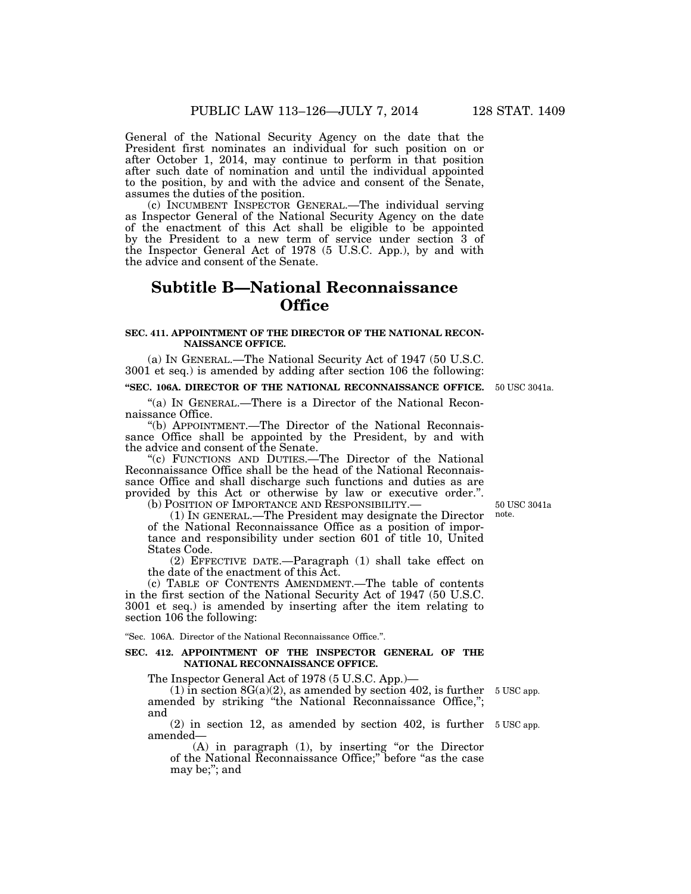General of the National Security Agency on the date that the President first nominates an individual for such position on or after October 1, 2014, may continue to perform in that position after such date of nomination and until the individual appointed to the position, by and with the advice and consent of the Senate, assumes the duties of the position.

(c) INCUMBENT INSPECTOR GENERAL.—The individual serving as Inspector General of the National Security Agency on the date of the enactment of this Act shall be eligible to be appointed by the President to a new term of service under section 3 of the Inspector General Act of 1978 (5 U.S.C. App.), by and with the advice and consent of the Senate.

# **Subtitle B—National Reconnaissance Office**

#### **SEC. 411. APPOINTMENT OF THE DIRECTOR OF THE NATIONAL RECON-NAISSANCE OFFICE.**

(a) IN GENERAL.—The National Security Act of 1947 (50 U.S.C. 3001 et seq.) is amended by adding after section 106 the following:

#### **''SEC. 106A. DIRECTOR OF THE NATIONAL RECONNAISSANCE OFFICE.**  50 USC 3041a.

''(a) IN GENERAL.—There is a Director of the National Reconnaissance Office.

''(b) APPOINTMENT.—The Director of the National Reconnaissance Office shall be appointed by the President, by and with the advice and consent of the Senate.

''(c) FUNCTIONS AND DUTIES.—The Director of the National Reconnaissance Office shall be the head of the National Reconnaissance Office and shall discharge such functions and duties as are provided by this Act or otherwise by law or executive order.''. (b) POSITION OF IMPORTANCE AND RESPONSIBILITY.—

(1) IN GENERAL.—The President may designate the Director of the National Reconnaissance Office as a position of importance and responsibility under section 601 of title 10, United

States Code. (2) EFFECTIVE DATE.—Paragraph (1) shall take effect on the date of the enactment of this Act.

(c) TABLE OF CONTENTS AMENDMENT.—The table of contents in the first section of the National Security Act of 1947 (50 U.S.C. 3001 et seq.) is amended by inserting after the item relating to section 106 the following:

''Sec. 106A. Director of the National Reconnaissance Office.''.

#### **SEC. 412. APPOINTMENT OF THE INSPECTOR GENERAL OF THE NATIONAL RECONNAISSANCE OFFICE.**

The Inspector General Act of 1978 (5 U.S.C. App.)—

 $(1)$  in section 8G(a)(2), as amended by section 402, is further 5 USC app. amended by striking ''the National Reconnaissance Office,''; and

(2) in section 12, as amended by section 402, is further 5 USC app. amended—

(A) in paragraph (1), by inserting ''or the Director of the National Reconnaissance Office;'' before ''as the case may be;''; and

50 USC 3041a note.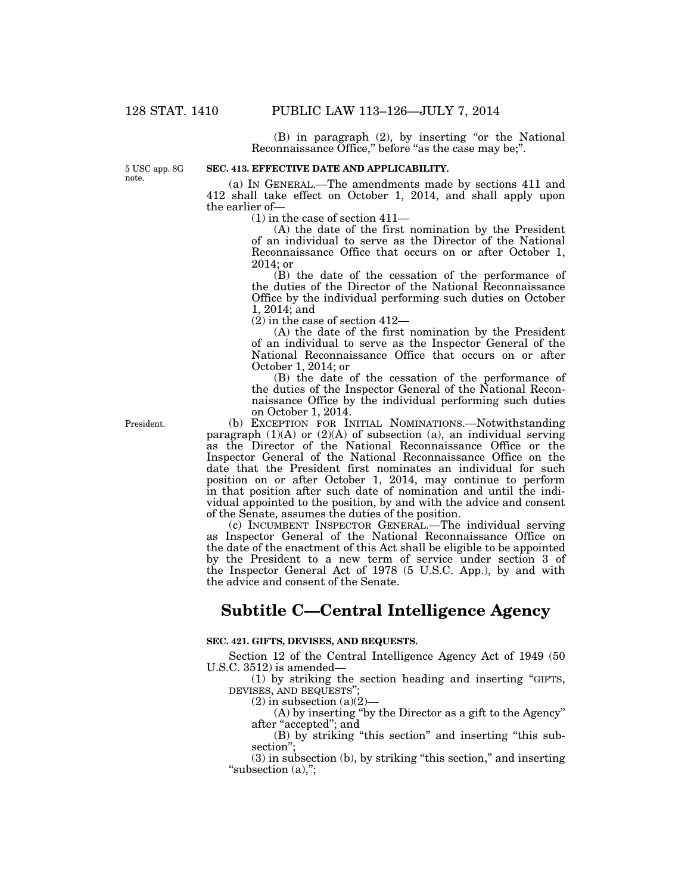(B) in paragraph (2), by inserting ''or the National Reconnaissance Office," before "as the case may be;".

5 USC app. 8G note.

#### **SEC. 413. EFFECTIVE DATE AND APPLICABILITY.**

(a) IN GENERAL.—The amendments made by sections 411 and 412 shall take effect on October 1, 2014, and shall apply upon the earlier of—

(1) in the case of section 411—

(A) the date of the first nomination by the President of an individual to serve as the Director of the National Reconnaissance Office that occurs on or after October 1, 2014; or

(B) the date of the cessation of the performance of the duties of the Director of the National Reconnaissance Office by the individual performing such duties on October 1, 2014; and

(2) in the case of section 412—

(A) the date of the first nomination by the President of an individual to serve as the Inspector General of the National Reconnaissance Office that occurs on or after October 1, 2014; or

(B) the date of the cessation of the performance of the duties of the Inspector General of the National Reconnaissance Office by the individual performing such duties on October 1, 2014.

(b) EXCEPTION FOR INITIAL NOMINATIONS.—Notwithstanding paragraph (1)(A) or (2)(A) of subsection (a), an individual serving as the Director of the National Reconnaissance Office or the Inspector General of the National Reconnaissance Office on the date that the President first nominates an individual for such position on or after October 1, 2014, may continue to perform in that position after such date of nomination and until the individual appointed to the position, by and with the advice and consent of the Senate, assumes the duties of the position.

(c) INCUMBENT INSPECTOR GENERAL.—The individual serving as Inspector General of the National Reconnaissance Office on the date of the enactment of this Act shall be eligible to be appointed by the President to a new term of service under section 3 of the Inspector General Act of 1978 (5 U.S.C. App.), by and with the advice and consent of the Senate.

# **Subtitle C—Central Intelligence Agency**

#### **SEC. 421. GIFTS, DEVISES, AND BEQUESTS.**

Section 12 of the Central Intelligence Agency Act of 1949 (50 U.S.C. 3512) is amended—

(1) by striking the section heading and inserting ''GIFTS, DEVISES, AND BEQUESTS'

(2) in subsection  $(a)(2)$ -

(A) by inserting ''by the Director as a gift to the Agency'' after ''accepted''; and

(B) by striking ''this section'' and inserting ''this subsection'';

(3) in subsection (b), by striking ''this section,'' and inserting "subsection  $(a)$ ,";

President.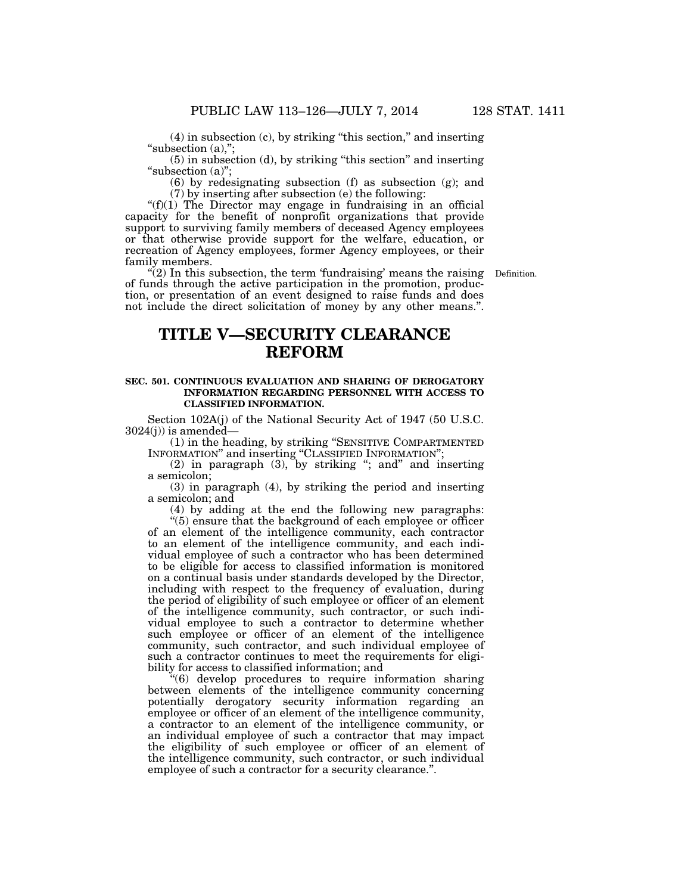(4) in subsection (c), by striking ''this section,'' and inserting "subsection (a),";

(5) in subsection (d), by striking ''this section'' and inserting "subsection (a)";

(6) by redesignating subsection (f) as subsection (g); and (7) by inserting after subsection (e) the following:

" $(f)(1)$  The Director may engage in fundraising in an official capacity for the benefit of nonprofit organizations that provide support to surviving family members of deceased Agency employees or that otherwise provide support for the welfare, education, or recreation of Agency employees, former Agency employees, or their

family members.

Definition.

 $\mathcal{L}(2)$  In this subsection, the term 'fundraising' means the raising of funds through the active participation in the promotion, production, or presentation of an event designed to raise funds and does not include the direct solicitation of money by any other means.''.

# **TITLE V—SECURITY CLEARANCE REFORM**

#### **SEC. 501. CONTINUOUS EVALUATION AND SHARING OF DEROGATORY INFORMATION REGARDING PERSONNEL WITH ACCESS TO CLASSIFIED INFORMATION.**

Section 102A(j) of the National Security Act of 1947 (50 U.S.C.  $3024(j)$ ) is amended-

(1) in the heading, by striking ''SENSITIVE COMPARTMENTED INFORMATION'' and inserting ''CLASSIFIED INFORMATION'';

(2) in paragraph  $(3)$ , by striking "; and" and inserting a semicolon;

(3) in paragraph (4), by striking the period and inserting a semicolon; and

(4) by adding at the end the following new paragraphs: ''(5) ensure that the background of each employee or officer of an element of the intelligence community, each contractor to an element of the intelligence community, and each individual employee of such a contractor who has been determined to be eligible for access to classified information is monitored on a continual basis under standards developed by the Director, including with respect to the frequency of evaluation, during the period of eligibility of such employee or officer of an element of the intelligence community, such contractor, or such individual employee to such a contractor to determine whether such employee or officer of an element of the intelligence community, such contractor, and such individual employee of such a contractor continues to meet the requirements for eligibility for access to classified information; and

''(6) develop procedures to require information sharing between elements of the intelligence community concerning potentially derogatory security information regarding an employee or officer of an element of the intelligence community, a contractor to an element of the intelligence community, or an individual employee of such a contractor that may impact the eligibility of such employee or officer of an element of the intelligence community, such contractor, or such individual employee of such a contractor for a security clearance.''.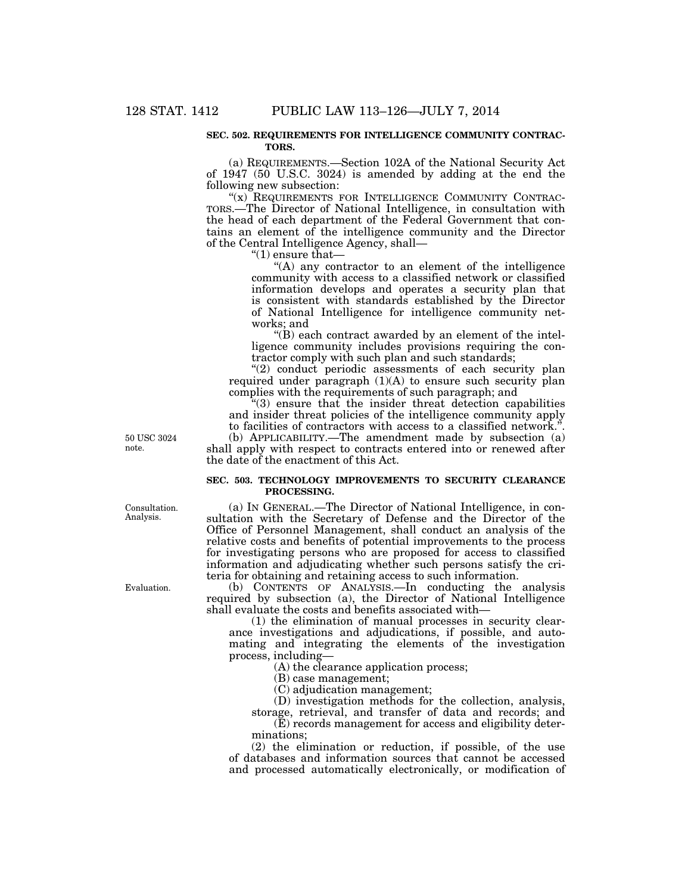#### **SEC. 502. REQUIREMENTS FOR INTELLIGENCE COMMUNITY CONTRAC-TORS.**

(a) REQUIREMENTS.—Section 102A of the National Security Act of 1947 (50 U.S.C. 3024) is amended by adding at the end the following new subsection:

"(x) REQUIREMENTS FOR INTELLIGENCE COMMUNITY CONTRAC-TORS.—The Director of National Intelligence, in consultation with the head of each department of the Federal Government that contains an element of the intelligence community and the Director of the Central Intelligence Agency, shall—

" $(1)$  ensure that—

"(A) any contractor to an element of the intelligence community with access to a classified network or classified information develops and operates a security plan that is consistent with standards established by the Director of National Intelligence for intelligence community networks; and

''(B) each contract awarded by an element of the intelligence community includes provisions requiring the contractor comply with such plan and such standards;

"(2) conduct periodic assessments of each security plan required under paragraph  $(1)(A)$  to ensure such security plan complies with the requirements of such paragraph; and

 $(3)$  ensure that the insider threat detection capabilities and insider threat policies of the intelligence community apply to facilities of contractors with access to a classified network.''. (b) APPLICABILITY.—The amendment made by subsection (a) shall apply with respect to contracts entered into or renewed after the date of the enactment of this Act.

#### **SEC. 503. TECHNOLOGY IMPROVEMENTS TO SECURITY CLEARANCE PROCESSING.**

(a) IN GENERAL.—The Director of National Intelligence, in consultation with the Secretary of Defense and the Director of the Office of Personnel Management, shall conduct an analysis of the relative costs and benefits of potential improvements to the process for investigating persons who are proposed for access to classified information and adjudicating whether such persons satisfy the criteria for obtaining and retaining access to such information.

(b) CONTENTS OF ANALYSIS.—In conducting the analysis required by subsection (a), the Director of National Intelligence shall evaluate the costs and benefits associated with—

(1) the elimination of manual processes in security clearance investigations and adjudications, if possible, and automating and integrating the elements of the investigation process, including—

(A) the clearance application process;

(B) case management;

(C) adjudication management;

(D) investigation methods for the collection, analysis, storage, retrieval, and transfer of data and records; and

(E) records management for access and eligibility determinations;

(2) the elimination or reduction, if possible, of the use of databases and information sources that cannot be accessed and processed automatically electronically, or modification of

50 USC 3024 note.

Consultation. Analysis.

Evaluation.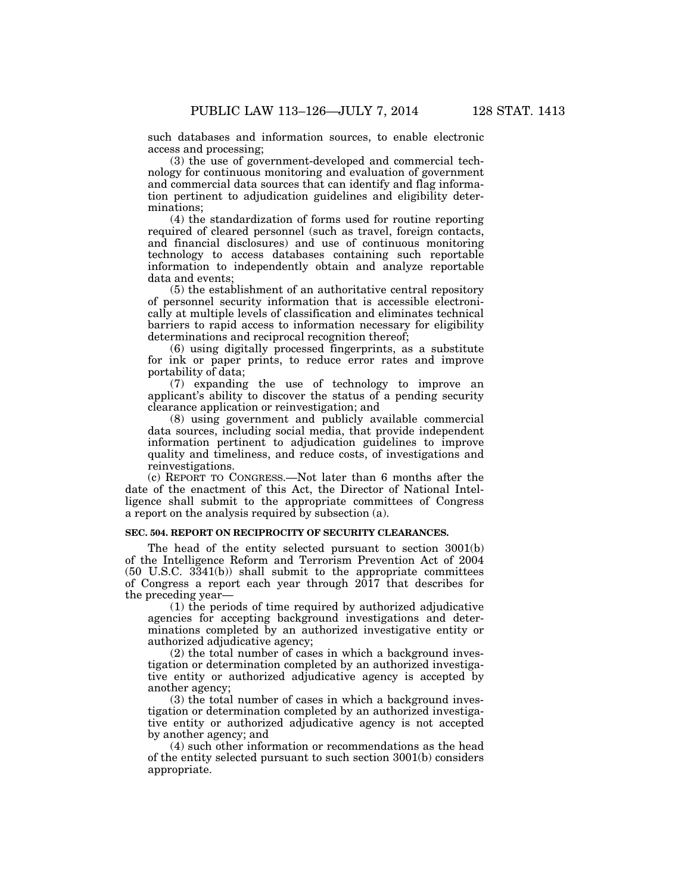such databases and information sources, to enable electronic access and processing;

(3) the use of government-developed and commercial technology for continuous monitoring and evaluation of government and commercial data sources that can identify and flag information pertinent to adjudication guidelines and eligibility determinations;

(4) the standardization of forms used for routine reporting required of cleared personnel (such as travel, foreign contacts, and financial disclosures) and use of continuous monitoring technology to access databases containing such reportable information to independently obtain and analyze reportable data and events;

(5) the establishment of an authoritative central repository of personnel security information that is accessible electronically at multiple levels of classification and eliminates technical barriers to rapid access to information necessary for eligibility determinations and reciprocal recognition thereof;

(6) using digitally processed fingerprints, as a substitute for ink or paper prints, to reduce error rates and improve portability of data;

(7) expanding the use of technology to improve an applicant's ability to discover the status of a pending security clearance application or reinvestigation; and

(8) using government and publicly available commercial data sources, including social media, that provide independent information pertinent to adjudication guidelines to improve quality and timeliness, and reduce costs, of investigations and reinvestigations.

(c) REPORT TO CONGRESS.—Not later than 6 months after the date of the enactment of this Act, the Director of National Intelligence shall submit to the appropriate committees of Congress a report on the analysis required by subsection (a).

#### **SEC. 504. REPORT ON RECIPROCITY OF SECURITY CLEARANCES.**

The head of the entity selected pursuant to section 3001(b) of the Intelligence Reform and Terrorism Prevention Act of 2004 (50 U.S.C. 3341(b)) shall submit to the appropriate committees of Congress a report each year through 2017 that describes for the preceding year—

(1) the periods of time required by authorized adjudicative agencies for accepting background investigations and determinations completed by an authorized investigative entity or authorized adjudicative agency;

(2) the total number of cases in which a background investigation or determination completed by an authorized investigative entity or authorized adjudicative agency is accepted by another agency;

(3) the total number of cases in which a background investigation or determination completed by an authorized investigative entity or authorized adjudicative agency is not accepted by another agency; and

(4) such other information or recommendations as the head of the entity selected pursuant to such section 3001(b) considers appropriate.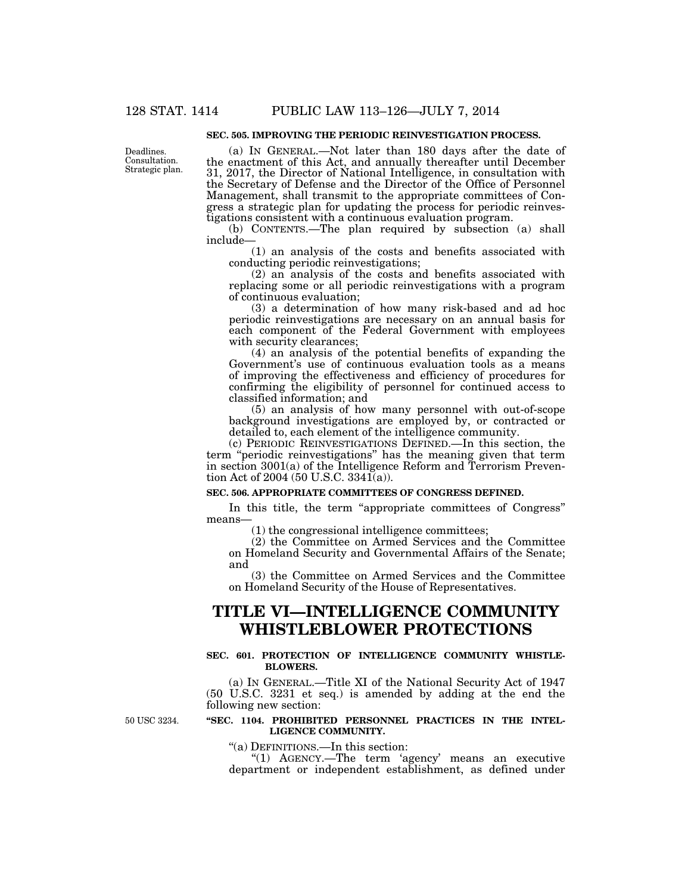#### **SEC. 505. IMPROVING THE PERIODIC REINVESTIGATION PROCESS.**

Deadlines. Consultation. Strategic plan.

(a) IN GENERAL.—Not later than 180 days after the date of the enactment of this Act, and annually thereafter until December 31, 2017, the Director of National Intelligence, in consultation with the Secretary of Defense and the Director of the Office of Personnel Management, shall transmit to the appropriate committees of Congress a strategic plan for updating the process for periodic reinvestigations consistent with a continuous evaluation program.

(b) CONTENTS.—The plan required by subsection (a) shall include—

(1) an analysis of the costs and benefits associated with conducting periodic reinvestigations;

(2) an analysis of the costs and benefits associated with replacing some or all periodic reinvestigations with a program of continuous evaluation;

(3) a determination of how many risk-based and ad hoc periodic reinvestigations are necessary on an annual basis for each component of the Federal Government with employees with security clearances;

(4) an analysis of the potential benefits of expanding the Government's use of continuous evaluation tools as a means of improving the effectiveness and efficiency of procedures for confirming the eligibility of personnel for continued access to classified information; and

(5) an analysis of how many personnel with out-of-scope background investigations are employed by, or contracted or detailed to, each element of the intelligence community.

(c) PERIODIC REINVESTIGATIONS DEFINED.—In this section, the term ''periodic reinvestigations'' has the meaning given that term in section 3001(a) of the Intelligence Reform and Terrorism Prevention Act of 2004 (50 U.S.C. 3341(a)).

#### **SEC. 506. APPROPRIATE COMMITTEES OF CONGRESS DEFINED.**

In this title, the term "appropriate committees of Congress" means—

(1) the congressional intelligence committees;

(2) the Committee on Armed Services and the Committee on Homeland Security and Governmental Affairs of the Senate; and

(3) the Committee on Armed Services and the Committee on Homeland Security of the House of Representatives.

# **TITLE VI—INTELLIGENCE COMMUNITY WHISTLEBLOWER PROTECTIONS**

#### **SEC. 601. PROTECTION OF INTELLIGENCE COMMUNITY WHISTLE-BLOWERS.**

(a) IN GENERAL.—Title XI of the National Security Act of 1947 (50 U.S.C. 3231 et seq.) is amended by adding at the end the following new section:

50 USC 3234.

#### **''SEC. 1104. PROHIBITED PERSONNEL PRACTICES IN THE INTEL-LIGENCE COMMUNITY.**

''(a) DEFINITIONS.—In this section:

"(1) AGENCY.—The term 'agency' means an executive department or independent establishment, as defined under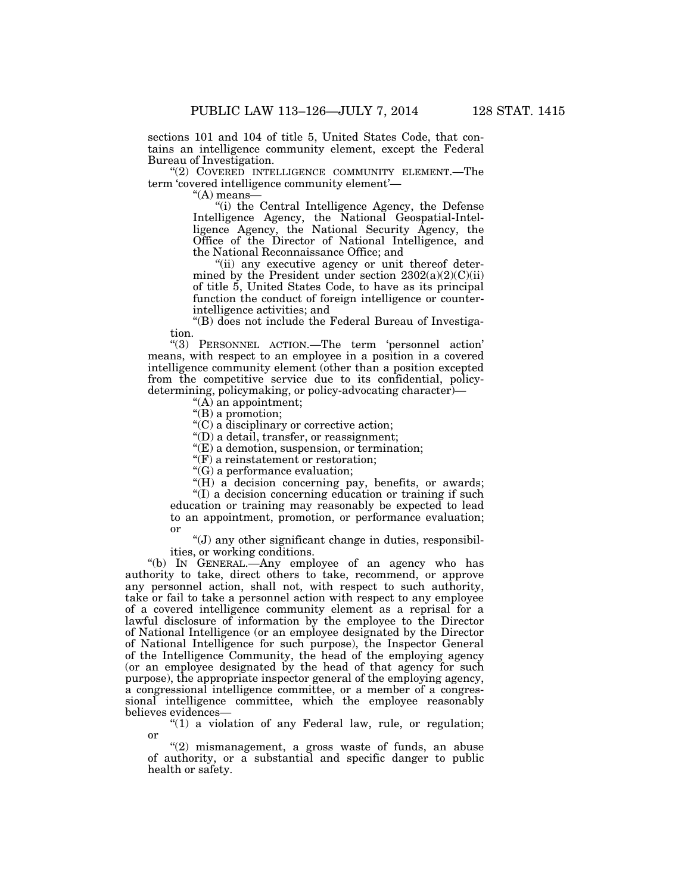sections 101 and 104 of title 5, United States Code, that contains an intelligence community element, except the Federal Bureau of Investigation.

"(2) COVERED INTELLIGENCE COMMUNITY ELEMENT.—The term 'covered intelligence community element'—

''(A) means—

''(i) the Central Intelligence Agency, the Defense Intelligence Agency, the National Geospatial-Intelligence Agency, the National Security Agency, the Office of the Director of National Intelligence, and the National Reconnaissance Office; and

"(ii) any executive agency or unit thereof determined by the President under section  $2302(a)(2)(C)(ii)$ of title 5, United States Code, to have as its principal function the conduct of foreign intelligence or counterintelligence activities; and

''(B) does not include the Federal Bureau of Investigation.

''(3) PERSONNEL ACTION.—The term 'personnel action' means, with respect to an employee in a position in a covered intelligence community element (other than a position excepted from the competitive service due to its confidential, policydetermining, policymaking, or policy-advocating character)—

''(A) an appointment;

''(B) a promotion;

''(C) a disciplinary or corrective action;

''(D) a detail, transfer, or reassignment;

''(E) a demotion, suspension, or termination;

 $\mathbf{r}(F)$  a reinstatement or restoration;

''(G) a performance evaluation;

"(H) a decision concerning pay, benefits, or awards;

''(I) a decision concerning education or training if such education or training may reasonably be expected to lead to an appointment, promotion, or performance evaluation; or

''(J) any other significant change in duties, responsibilities, or working conditions.

''(b) IN GENERAL.—Any employee of an agency who has authority to take, direct others to take, recommend, or approve any personnel action, shall not, with respect to such authority, take or fail to take a personnel action with respect to any employee of a covered intelligence community element as a reprisal for a lawful disclosure of information by the employee to the Director of National Intelligence (or an employee designated by the Director of National Intelligence for such purpose), the Inspector General of the Intelligence Community, the head of the employing agency (or an employee designated by the head of that agency for such purpose), the appropriate inspector general of the employing agency, a congressional intelligence committee, or a member of a congressional intelligence committee, which the employee reasonably believes evidences—

" $(1)$  a violation of any Federal law, rule, or regulation; or

"(2) mismanagement, a gross waste of funds, an abuse of authority, or a substantial and specific danger to public health or safety.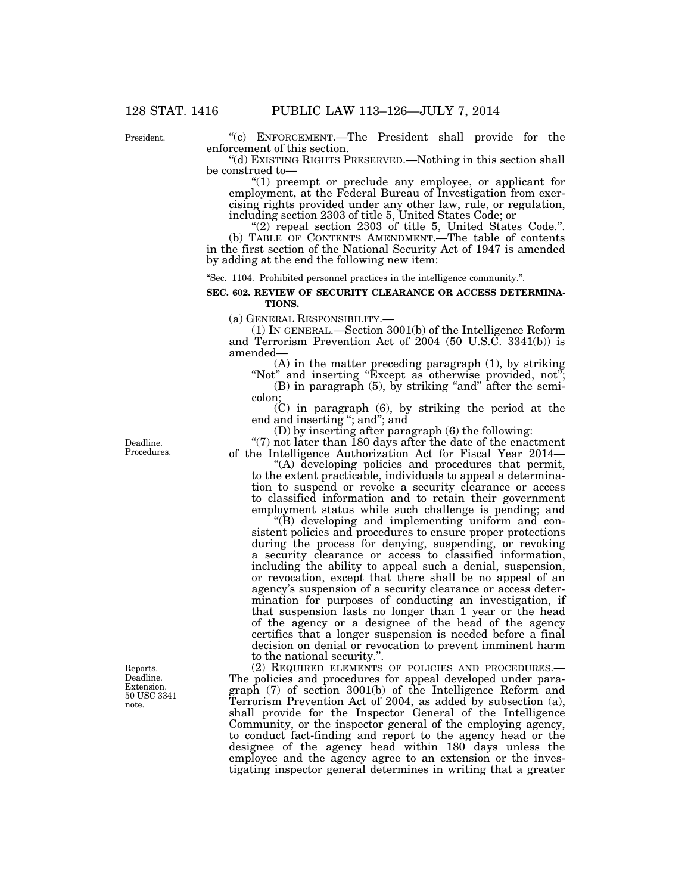President.

''(c) ENFORCEMENT.—The President shall provide for the enforcement of this section.

''(d) EXISTING RIGHTS PRESERVED.—Nothing in this section shall be construed to—

''(1) preempt or preclude any employee, or applicant for employment, at the Federal Bureau of Investigation from exercising rights provided under any other law, rule, or regulation, including section 2303 of title 5, United States Code; or

''(2) repeal section 2303 of title 5, United States Code.''. (b) TABLE OF CONTENTS AMENDMENT.—The table of contents in the first section of the National Security Act of 1947 is amended by adding at the end the following new item:

''Sec. 1104. Prohibited personnel practices in the intelligence community.''.

#### **SEC. 602. REVIEW OF SECURITY CLEARANCE OR ACCESS DETERMINA-TIONS.**

(a) GENERAL RESPONSIBILITY.— (1) IN GENERAL.—Section 3001(b) of the Intelligence Reform and Terrorism Prevention Act of 2004 (50 U.S.C. 3341(b)) is amended—

(A) in the matter preceding paragraph (1), by striking "Not" and inserting "Except as otherwise provided, not";  $(B)$  in paragraph  $(5)$ , by striking "and" after the semi-

colon; (C) in paragraph (6), by striking the period at the

end and inserting ''; and''; and

(D) by inserting after paragraph (6) the following:

" $(7)$  not later than 180 days after the date of the enactment of the Intelligence Authorization Act for Fiscal Year 2014—

''(A) developing policies and procedures that permit, to the extent practicable, individuals to appeal a determination to suspend or revoke a security clearance or access to classified information and to retain their government employment status while such challenge is pending; and

''(B) developing and implementing uniform and consistent policies and procedures to ensure proper protections during the process for denying, suspending, or revoking a security clearance or access to classified information, including the ability to appeal such a denial, suspension, or revocation, except that there shall be no appeal of an agency's suspension of a security clearance or access determination for purposes of conducting an investigation, if that suspension lasts no longer than 1 year or the head of the agency or a designee of the head of the agency certifies that a longer suspension is needed before a final decision on denial or revocation to prevent imminent harm to the national security.''.

(2) REQUIRED ELEMENTS OF POLICIES AND PROCEDURES.— The policies and procedures for appeal developed under paragraph (7) of section 3001(b) of the Intelligence Reform and Terrorism Prevention Act of 2004, as added by subsection (a), shall provide for the Inspector General of the Intelligence Community, or the inspector general of the employing agency, to conduct fact-finding and report to the agency head or the designee of the agency head within 180 days unless the employee and the agency agree to an extension or the investigating inspector general determines in writing that a greater

Deadline. Procedures.

Reports. Deadline. Extension. 50 USC 3341 note.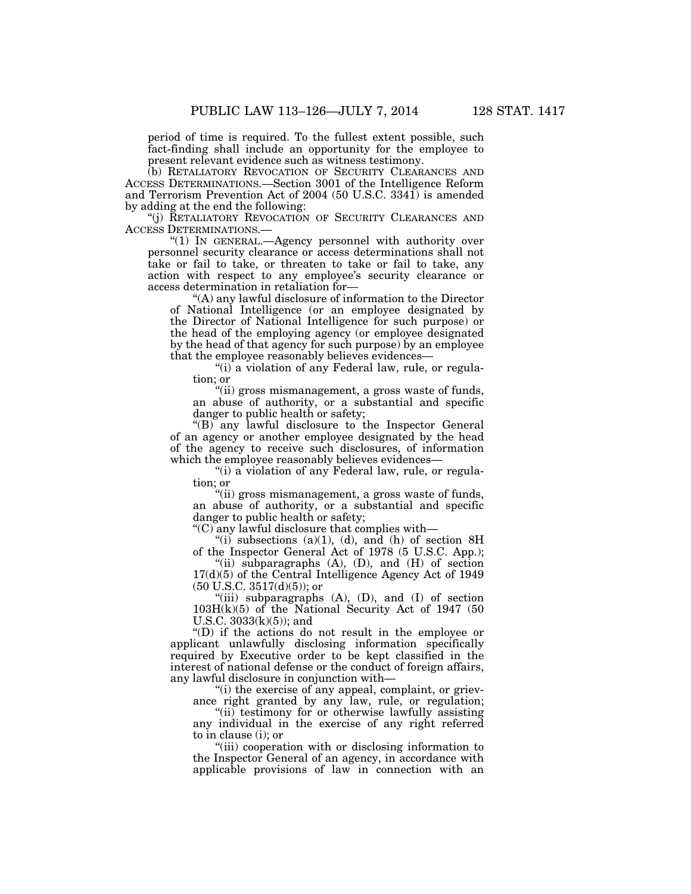period of time is required. To the fullest extent possible, such fact-finding shall include an opportunity for the employee to present relevant evidence such as witness testimony.

(b) RETALIATORY REVOCATION OF SECURITY CLEARANCES AND ACCESS DETERMINATIONS.—Section 3001 of the Intelligence Reform and Terrorism Prevention Act of 2004 (50 U.S.C. 3341) is amended by adding at the end the following:

'(j) RETALIATORY REVOCATION OF SECURITY CLEARANCES AND ACCESS DETERMINATIONS.—

''(1) IN GENERAL.—Agency personnel with authority over personnel security clearance or access determinations shall not take or fail to take, or threaten to take or fail to take, any action with respect to any employee's security clearance or access determination in retaliation for—

''(A) any lawful disclosure of information to the Director of National Intelligence (or an employee designated by the Director of National Intelligence for such purpose) or the head of the employing agency (or employee designated by the head of that agency for such purpose) by an employee that the employee reasonably believes evidences—

"(i) a violation of any Federal law, rule, or regulation; or

''(ii) gross mismanagement, a gross waste of funds, an abuse of authority, or a substantial and specific danger to public health or safety;

''(B) any lawful disclosure to the Inspector General of an agency or another employee designated by the head of the agency to receive such disclosures, of information which the employee reasonably believes evidences—

"(i) a violation of any Federal law, rule, or regulation; or

''(ii) gross mismanagement, a gross waste of funds, an abuse of authority, or a substantial and specific danger to public health or safety;

''(C) any lawful disclosure that complies with—

"(i) subsections (a)(1), (d), and (h) of section  $8H$ of the Inspector General Act of 1978 (5 U.S.C. App.);

"(ii) subparagraphs (A), (D), and (H) of section 17(d)(5) of the Central Intelligence Agency Act of 1949  $(50 \text{ U.S.C. } 3517\text{ (d)}(5))$ ; or

"(iii) subparagraphs  $(A)$ ,  $(D)$ , and  $(I)$  of section  $103H(k)(5)$  of the National Security Act of 1947 (50 U.S.C. 3033(k)(5)); and

''(D) if the actions do not result in the employee or applicant unlawfully disclosing information specifically required by Executive order to be kept classified in the interest of national defense or the conduct of foreign affairs, any lawful disclosure in conjunction with—

"(i) the exercise of any appeal, complaint, or grievance right granted by any law, rule, or regulation;

"(ii) testimony for or otherwise lawfully assisting any individual in the exercise of any right referred to in clause (i); or

''(iii) cooperation with or disclosing information to the Inspector General of an agency, in accordance with applicable provisions of law in connection with an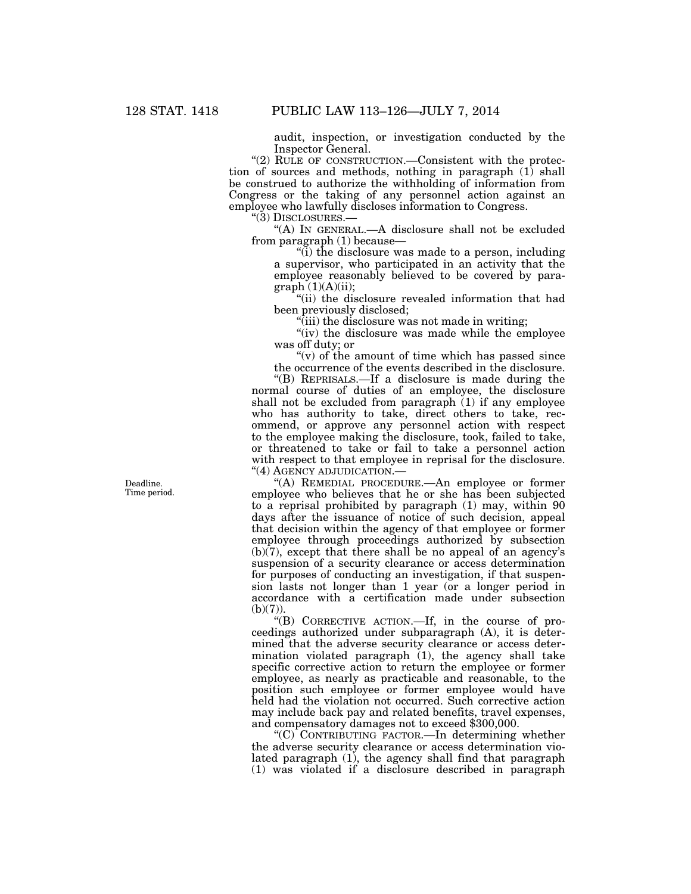audit, inspection, or investigation conducted by the Inspector General.

" $(2)$  RULE OF CONSTRUCTION.—Consistent with the protection of sources and methods, nothing in paragraph (1) shall be construed to authorize the withholding of information from Congress or the taking of any personnel action against an employee who lawfully discloses information to Congress.

''(3) DISCLOSURES.—

''(A) IN GENERAL.—A disclosure shall not be excluded from paragraph (1) because—

''(i) the disclosure was made to a person, including a supervisor, who participated in an activity that the employee reasonably believed to be covered by para $graph(1)(A)(ii);$ 

''(ii) the disclosure revealed information that had been previously disclosed;

 $\sqrt[n]{i}$  (iii) the disclosure was not made in writing;

"(iv) the disclosure was made while the employee was off duty; or

" $(v)$  of the amount of time which has passed since the occurrence of the events described in the disclosure.

''(B) REPRISALS.—If a disclosure is made during the normal course of duties of an employee, the disclosure shall not be excluded from paragraph  $(1)$  if any employee who has authority to take, direct others to take, recommend, or approve any personnel action with respect to the employee making the disclosure, took, failed to take, or threatened to take or fail to take a personnel action with respect to that employee in reprisal for the disclosure. ''(4) AGENCY ADJUDICATION.—

''(A) REMEDIAL PROCEDURE.—An employee or former employee who believes that he or she has been subjected to a reprisal prohibited by paragraph (1) may, within 90 days after the issuance of notice of such decision, appeal that decision within the agency of that employee or former employee through proceedings authorized by subsection  $(b)(7)$ , except that there shall be no appeal of an agency's suspension of a security clearance or access determination for purposes of conducting an investigation, if that suspension lasts not longer than 1 year (or a longer period in accordance with a certification made under subsection  $(b)(7)$ ).

''(B) CORRECTIVE ACTION.—If, in the course of proceedings authorized under subparagraph (A), it is determined that the adverse security clearance or access determination violated paragraph (1), the agency shall take specific corrective action to return the employee or former employee, as nearly as practicable and reasonable, to the position such employee or former employee would have held had the violation not occurred. Such corrective action may include back pay and related benefits, travel expenses, and compensatory damages not to exceed \$300,000.

" $(C)$  CONTRIBUTING FACTOR.—In determining whether the adverse security clearance or access determination violated paragraph (1), the agency shall find that paragraph (1) was violated if a disclosure described in paragraph

Deadline. Time period.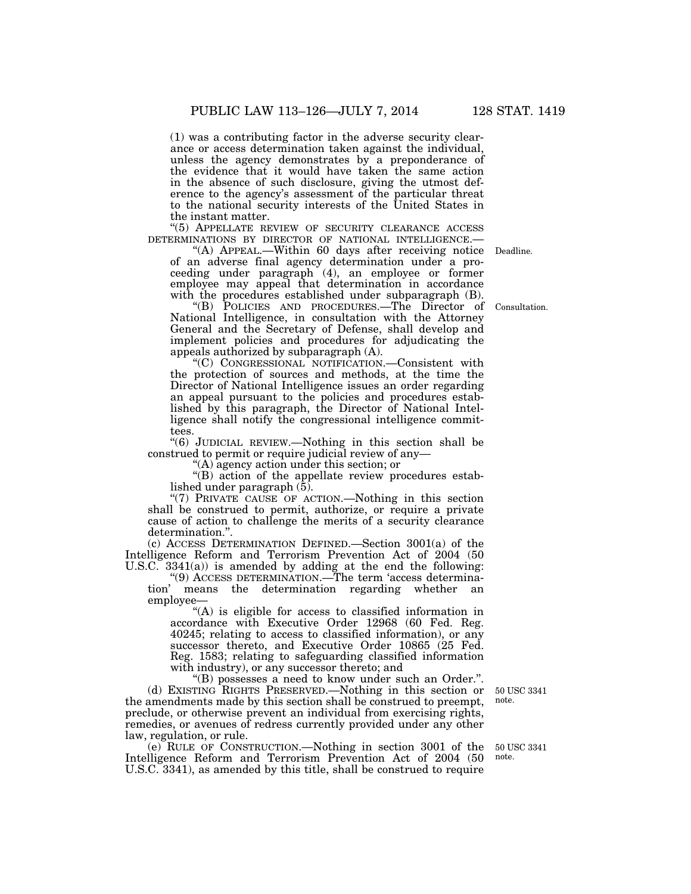(1) was a contributing factor in the adverse security clearance or access determination taken against the individual, unless the agency demonstrates by a preponderance of the evidence that it would have taken the same action in the absence of such disclosure, giving the utmost deference to the agency's assessment of the particular threat to the national security interests of the United States in the instant matter.

"(5) APPELLATE REVIEW OF SECURITY CLEARANCE ACCESS DETERMINATIONS BY DIRECTOR OF NATIONAL INTELLIGENCE.—

of an adverse final agency determination under a proceeding under paragraph (4), an employee or former employee may appeal that determination in accordance with the procedures established under subparagraph  $(B)$ . "(A) APPEAL.—Within 60 days after receiving notice Deadline.

''(B) POLICIES AND PROCEDURES.—The Director of National Intelligence, in consultation with the Attorney General and the Secretary of Defense, shall develop and implement policies and procedures for adjudicating the appeals authorized by subparagraph (A).

''(C) CONGRESSIONAL NOTIFICATION.—Consistent with the protection of sources and methods, at the time the Director of National Intelligence issues an order regarding an appeal pursuant to the policies and procedures established by this paragraph, the Director of National Intelligence shall notify the congressional intelligence committees.

''(6) JUDICIAL REVIEW.—Nothing in this section shall be construed to permit or require judicial review of any—

''(A) agency action under this section; or

"(B) action of the appellate review procedures established under paragraph (5).

"(7) PRIVATE CAUSE OF ACTION.—Nothing in this section shall be construed to permit, authorize, or require a private cause of action to challenge the merits of a security clearance determination.''.

(c) ACCESS DETERMINATION DEFINED.—Section 3001(a) of the Intelligence Reform and Terrorism Prevention Act of 2004 (50 U.S.C. 3341(a)) is amended by adding at the end the following:

''(9) ACCESS DETERMINATION.—The term 'access determination' means the determination regarding whether an employee—

''(A) is eligible for access to classified information in accordance with Executive Order 12968 (60 Fed. Reg. 40245; relating to access to classified information), or any successor thereto, and Executive Order 10865 (25 Fed. Reg. 1583; relating to safeguarding classified information with industry), or any successor thereto; and

''(B) possesses a need to know under such an Order.''. (d) EXISTING RIGHTS PRESERVED.—Nothing in this section or the amendments made by this section shall be construed to preempt, preclude, or otherwise prevent an individual from exercising rights, remedies, or avenues of redress currently provided under any other law, regulation, or rule.

(e) RULE OF CONSTRUCTION.—Nothing in section 3001 of the Intelligence Reform and Terrorism Prevention Act of 2004 (50 U.S.C. 3341), as amended by this title, shall be construed to require

50 USC 3341 note.

50 USC 3341 note.

Consultation.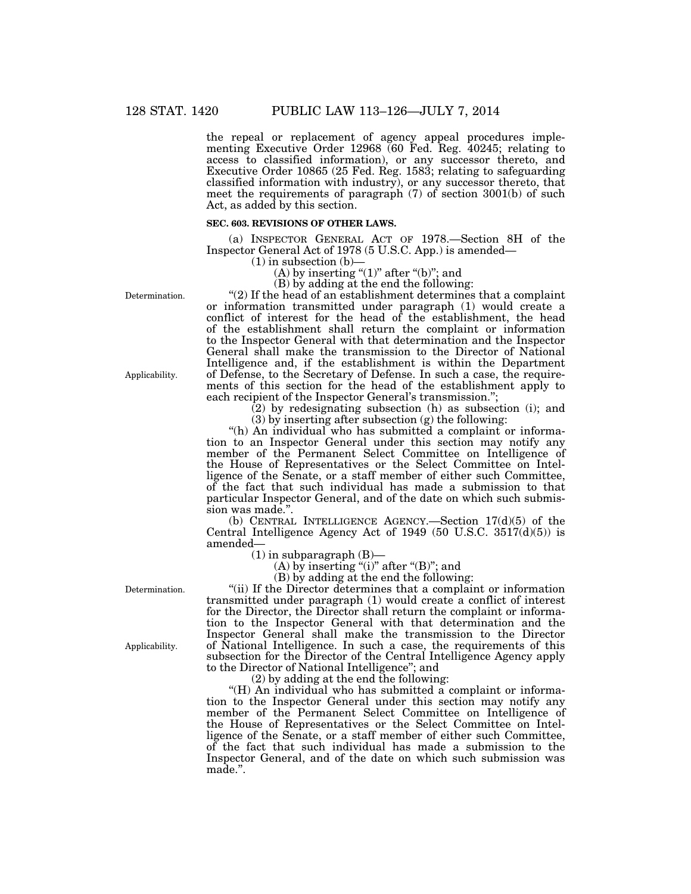the repeal or replacement of agency appeal procedures implementing Executive Order 12968 (60 Fed. Reg. 40245; relating to access to classified information), or any successor thereto, and Executive Order 10865 (25 Fed. Reg. 1583; relating to safeguarding classified information with industry), or any successor thereto, that meet the requirements of paragraph  $(7)$  of section 3001(b) of such Act, as added by this section.

#### **SEC. 603. REVISIONS OF OTHER LAWS.**

(a) INSPECTOR GENERAL ACT OF 1978.—Section 8H of the Inspector General Act of 1978 (5 U.S.C. App.) is amended—

 $(1)$  in subsection  $(b)$ -

(A) by inserting " $(1)$ " after " $(b)$ "; and

(B) by adding at the end the following:

''(2) If the head of an establishment determines that a complaint or information transmitted under paragraph (1) would create a conflict of interest for the head of the establishment, the head of the establishment shall return the complaint or information to the Inspector General with that determination and the Inspector General shall make the transmission to the Director of National Intelligence and, if the establishment is within the Department of Defense, to the Secretary of Defense. In such a case, the requirements of this section for the head of the establishment apply to each recipient of the Inspector General's transmission.'';

(2) by redesignating subsection (h) as subsection (i); and

(3) by inserting after subsection (g) the following:

"(h) An individual who has submitted a complaint or information to an Inspector General under this section may notify any member of the Permanent Select Committee on Intelligence of the House of Representatives or the Select Committee on Intelligence of the Senate, or a staff member of either such Committee, of the fact that such individual has made a submission to that particular Inspector General, and of the date on which such submission was made.''.

(b) CENTRAL INTELLIGENCE AGENCY.—Section 17(d)(5) of the Central Intelligence Agency Act of 1949 (50 U.S.C. 3517(d)(5)) is amended—

 $(1)$  in subparagraph  $(B)$ —

(A) by inserting "(i)" after " $(B)$ "; and

(B) by adding at the end the following:

"(ii) If the Director determines that a complaint or information transmitted under paragraph (1) would create a conflict of interest for the Director, the Director shall return the complaint or information to the Inspector General with that determination and the Inspector General shall make the transmission to the Director of National Intelligence. In such a case, the requirements of this subsection for the Director of the Central Intelligence Agency apply to the Director of National Intelligence''; and

 $(2)$  by adding at the end the following:

"(H) An individual who has submitted a complaint or information to the Inspector General under this section may notify any member of the Permanent Select Committee on Intelligence of the House of Representatives or the Select Committee on Intelligence of the Senate, or a staff member of either such Committee, of the fact that such individual has made a submission to the Inspector General, and of the date on which such submission was made.''.

Determination.

Applicability.

Applicability.

Determination.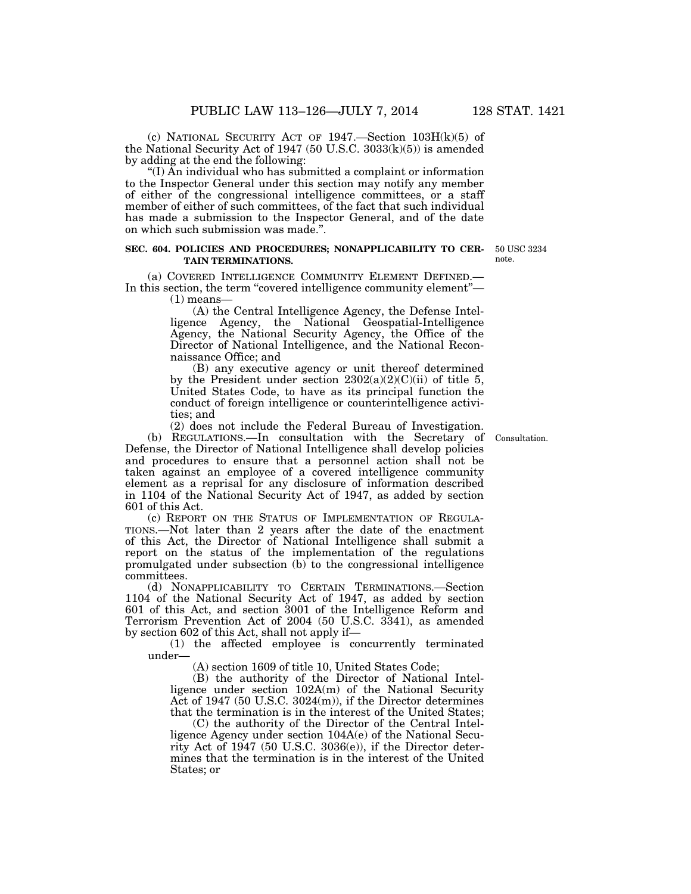(c) NATIONAL SECURITY ACT OF 1947.—Section 103H(k)(5) of the National Security Act of 1947 (50 U.S.C. 3033(k)(5)) is amended by adding at the end the following:

''(I) An individual who has submitted a complaint or information to the Inspector General under this section may notify any member of either of the congressional intelligence committees, or a staff member of either of such committees, of the fact that such individual has made a submission to the Inspector General, and of the date on which such submission was made.''.

#### **SEC. 604. POLICIES AND PROCEDURES; NONAPPLICABILITY TO CER-TAIN TERMINATIONS.**

(a) COVERED INTELLIGENCE COMMUNITY ELEMENT DEFINED.— In this section, the term "covered intelligence community element"—

(1) means—

(A) the Central Intelligence Agency, the Defense Intelligence Agency, the National Geospatial-Intelligence Agency, the National Security Agency, the Office of the Director of National Intelligence, and the National Reconnaissance Office; and

(B) any executive agency or unit thereof determined by the President under section  $2302(a)(2)(C)(ii)$  of title 5, United States Code, to have as its principal function the conduct of foreign intelligence or counterintelligence activities; and

(2) does not include the Federal Bureau of Investigation.

(b) REGULATIONS.—In consultation with the Secretary of Defense, the Director of National Intelligence shall develop policies and procedures to ensure that a personnel action shall not be taken against an employee of a covered intelligence community element as a reprisal for any disclosure of information described in 1104 of the National Security Act of 1947, as added by section 601 of this Act.

(c) REPORT ON THE STATUS OF IMPLEMENTATION OF REGULA-TIONS.—Not later than 2 years after the date of the enactment of this Act, the Director of National Intelligence shall submit a report on the status of the implementation of the regulations promulgated under subsection (b) to the congressional intelligence committees.

(d) NONAPPLICABILITY TO CERTAIN TERMINATIONS.—Section 1104 of the National Security Act of 1947, as added by section 601 of this Act, and section 3001 of the Intelligence Reform and Terrorism Prevention Act of 2004 (50 U.S.C. 3341), as amended by section 602 of this Act, shall not apply if—

(1) the affected employee is concurrently terminated under—

(A) section 1609 of title 10, United States Code;

(B) the authority of the Director of National Intelligence under section 102A(m) of the National Security Act of 1947 (50 U.S.C. 3024(m)), if the Director determines that the termination is in the interest of the United States;

(C) the authority of the Director of the Central Intelligence Agency under section 104A(e) of the National Security Act of 1947 (50 U.S.C. 3036(e)), if the Director determines that the termination is in the interest of the United States; or

Consultation.

50 USC 3234 note.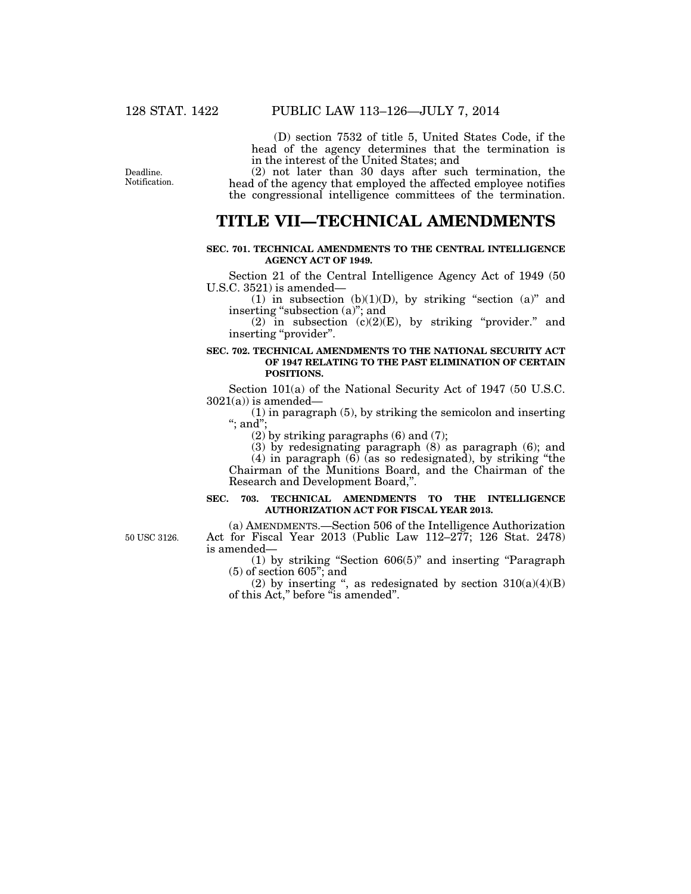(D) section 7532 of title 5, United States Code, if the head of the agency determines that the termination is in the interest of the United States; and

(2) not later than 30 days after such termination, the head of the agency that employed the affected employee notifies the congressional intelligence committees of the termination.

### **TITLE VII—TECHNICAL AMENDMENTS**

#### **SEC. 701. TECHNICAL AMENDMENTS TO THE CENTRAL INTELLIGENCE AGENCY ACT OF 1949.**

Section 21 of the Central Intelligence Agency Act of 1949 (50 U.S.C. 3521) is amended—

(1) in subsection (b)(1)(D), by striking "section (a)" and inserting "subsection (a)"; and

(2) in subsection  $(c)(2)(E)$ , by striking "provider." and inserting "provider".

#### **SEC. 702. TECHNICAL AMENDMENTS TO THE NATIONAL SECURITY ACT OF 1947 RELATING TO THE PAST ELIMINATION OF CERTAIN POSITIONS.**

Section 101(a) of the National Security Act of 1947 (50 U.S.C.  $3021(a)$ ) is amended—

(1) in paragraph (5), by striking the semicolon and inserting ''; and'';

(2) by striking paragraphs (6) and (7);

(3) by redesignating paragraph (8) as paragraph (6); and

(4) in paragraph (6) (as so redesignated), by striking ''the Chairman of the Munitions Board, and the Chairman of the Research and Development Board,''.

#### **SEC. 703. TECHNICAL AMENDMENTS TO THE INTELLIGENCE AUTHORIZATION ACT FOR FISCAL YEAR 2013.**

50 USC 3126.

(a) AMENDMENTS.—Section 506 of the Intelligence Authorization Act for Fiscal Year 2013 (Public Law 112–277; 126 Stat. 2478) is amended—

(1) by striking ''Section 606(5)'' and inserting ''Paragraph (5) of section 605''; and

(2) by inserting ", as redesignated by section  $310(a)(4)(B)$ of this Act,'' before ''is amended''.

Deadline. Notification.